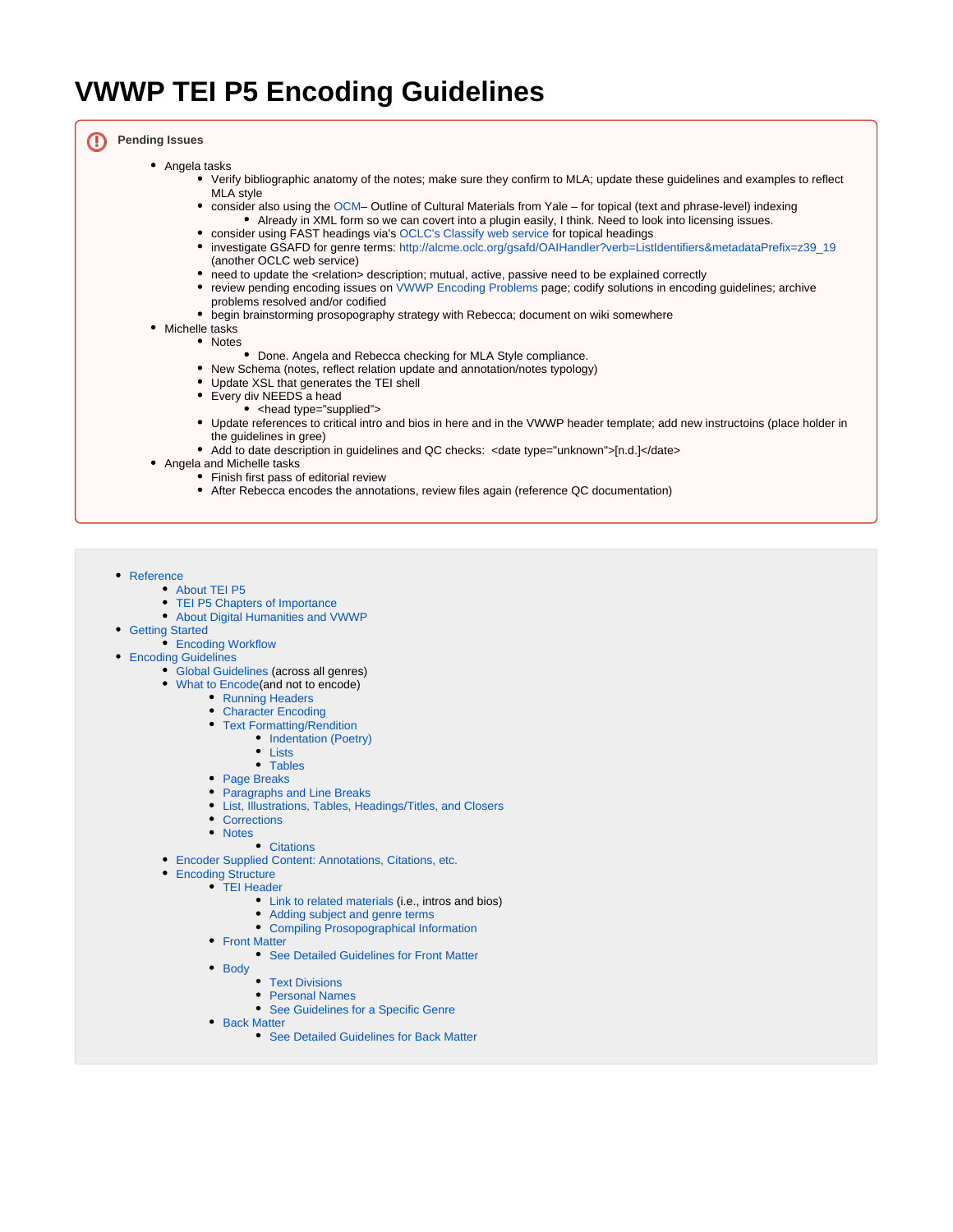# **VWWP TEI P5 Encoding Guidelines**

**Pending Issues**

- Angela tasks
	- Verify bibliographic anatomy of the notes; make sure they confirm to MLA; update these guidelines and examples to reflect MLA style
	- consider also using the [OCM](http://www.yale.edu/hraf/Ocm_xml/newOcm.xml) Outline of Cultural Materials from Yale for topical (text and phrase-level) indexing Already in XML form so we can covert into a plugin easily, I think. Need to look into licensing issues.
	- consider using FAST headings via's [OCLC's Classify web service](http://classify.oclc.org/) for topical headings
	- investigate GSAFD for genre terms: [http://alcme.oclc.org/gsafd/OAIHandler?verb=ListIdentifiers&metadataPrefix=z39\\_19](http://alcme.oclc.org/gsafd/OAIHandler?verb=ListIdentifiers&metadataPrefix=z39_19) (another OCLC web service)
	- need to update the <relation> description; mutual, active, passive need to be explained correctly
	- review pending encoding issues on [VWWP Encoding Problems](https://wiki.dlib.indiana.edu/display/vwwp/VWWP+Encoding+Problems) page; codify solutions in encoding guidelines; archive problems resolved and/or codified
	- begin brainstorming prosopography strategy with Rebecca; document on wiki somewhere
- Michelle tasks
	- Notes
		- Done. Angela and Rebecca checking for MLA Style compliance.
	- New Schema (notes, reflect relation update and annotation/notes typology)
	- Update XSL that generates the TEI shell
	- Every div NEEDS a head
		- <head type="supplied">
	- Update references to critical intro and bios in here and in the VWWP header template; add new instructoins (place holder in the guidelines in gree)
	- Add to date description in guidelines and QC checks: <date type="unknown">[n.d.]</date>
- Angela and Michelle tasks
	- Finish first pass of editorial review
	- After Rebecca encodes the annotations, review files again (reference QC documentation)

<span id="page-0-0"></span>• [Reference](#page-1-0)

- [About TEI P5](#page-1-1)
	- [TEI P5 Chapters of Importance](#page-1-2)
	- [About Digital Humanities and VWWP](#page-1-3)
- **[Getting Started](#page-1-4)** 
	- **[Encoding Workflow](#page-1-5)**
- **[Encoding Guidelines](#page-2-0)** 
	- [Global Guidelines](#page-2-1) (across all genres)
	- [What to Encode\(](#page-2-2)and not to encode)
		- [Running Headers](#page-2-3)
		- [Character Encoding](#page-2-4)
		- [Text Formatting/Rendition](#page-3-0)
			- [Indentation \(Poetry\)](#page-3-1)
			- [Lists](#page-3-2)
			- [Tables](#page-4-0)
		- [Page Breaks](#page-4-1)
		- [Paragraphs and Line Breaks](#page-4-2)
		- [List, Illustrations, Tables, Headings/Titles, and Closers](#page-6-0)
		- [Corrections](#page-9-0)
		- [Notes](#page-9-1)
		- [Citations](#page-10-0)
	- [Encoder Supplied Content: Annotations, Citations, etc.](#page-11-0)
	- [Encoding Structure](#page-13-0)
	- [TEI Header](#page-13-1)
		- [Link to related materials](#page-18-0) (i.e., intros and bios)
		- [Adding subject and genre terms](#page-18-1)
			- [Compiling Prosopographical Information](#page-19-0)
		- [Front Matter](#page-21-0)
			- [See Detailed Guidelines for Front Matter](https://wiki.dlib.indiana.edu/display/vwwp/Front+Matter)
		- [Body](#page-22-0)
			- [Text Divisions](#page-22-1)
			- [Personal Names](#page-24-0) [See Guidelines for a Specific Genre](#page-24-1)
		- [Back Matter](#page-24-2)
			- [See Detailed Guidelines for Back Matter](https://wiki.dlib.indiana.edu/display/vwwp/Back+Matter)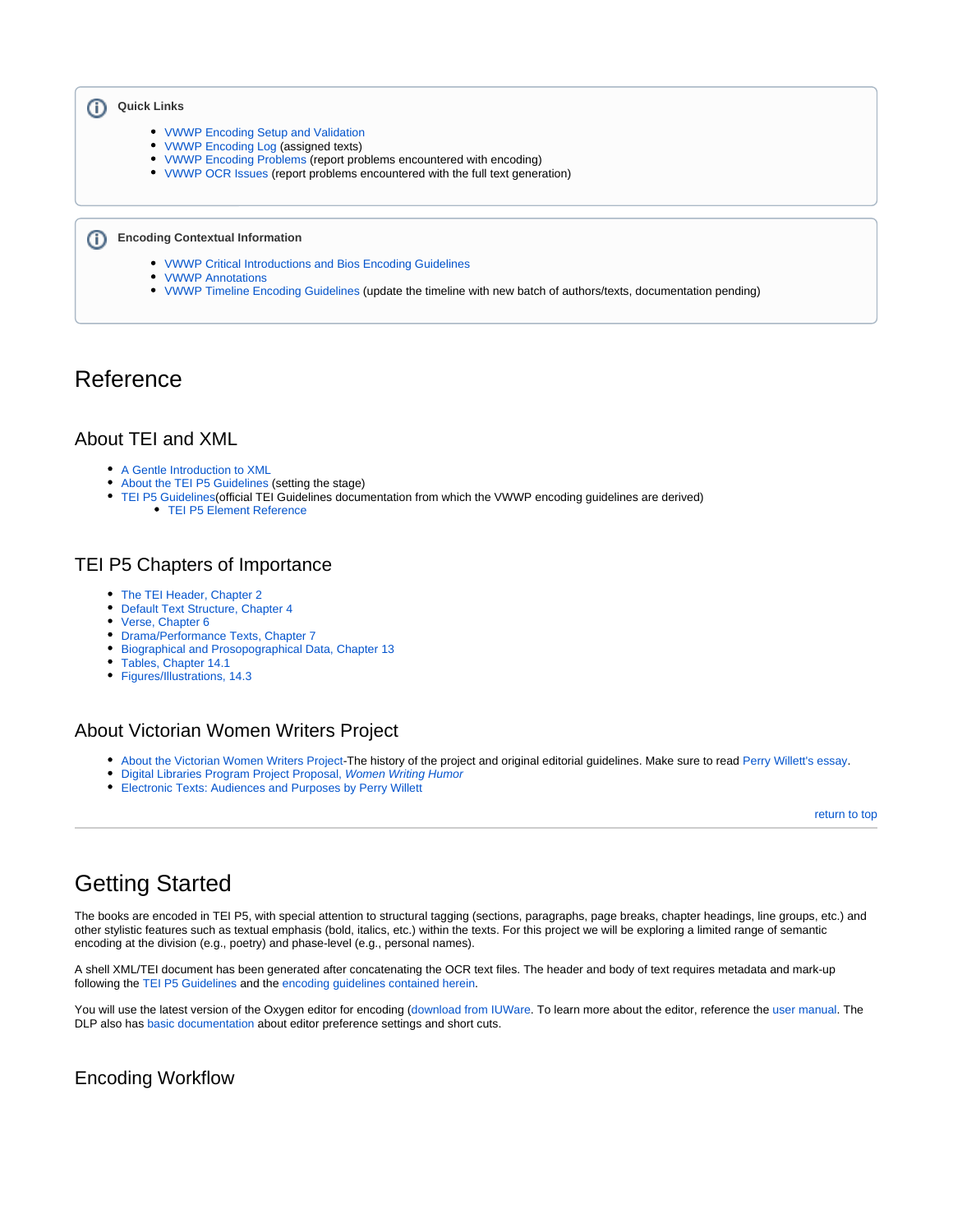#### **Quick Links** ⋒

- [VWWP Encoding Setup and Validation](https://wiki.dlib.indiana.edu/display/vwwp/VWWP+Encoding+Setup+and+Validation)
- [VWWP Encoding Log](https://wiki.dlib.indiana.edu/display/vwwp/VWWP+Encoding+Log) (assigned texts)
- [VWWP Encoding Problems](https://wiki.dlib.indiana.edu/display/vwwp/VWWP+Encoding+Problems) (report problems encountered with encoding)
- [VWWP OCR Issues](https://wiki.dlib.indiana.edu/display/vwwp/VWWP+OCR+Issues) (report problems encountered with the full text generation)

#### **Encoding Contextual Information**

- [VWWP Critical Introductions and Bios Encoding Guidelines](https://wiki.dlib.indiana.edu/display/vwwp/VWWP+Critical+Introductions+and+Bios+Encoding+Guidelines)
- [VWWP Annotations](#page-11-0)
- [VWWP Timeline Encoding Guidelines](https://wiki.dlib.indiana.edu/display/vwwp/VWWP+Timeline+Encoding+Guidelines) (update the timeline with new batch of authors/texts, documentation pending)

## <span id="page-1-0"></span>Reference

ത

## <span id="page-1-1"></span>About TEI and XML

- [A Gentle Introduction to XML](http://www.tei-c.org/release/doc/tei-p5-doc/en/html/SG.html)
- $\bullet$ [About the TEI P5 Guidelines](http://www.tei-c.org/release/doc/tei-p5-doc/en/html/AB.html) (setting the stage)
- [TEI P5 Guidelines](http://www.tei-c.org/release/doc/tei-p5-doc/en/html/CO.html)(official TEI Guidelines documentation from which the VWWP encoding guidelines are derived)
	- [TEI P5 Element Reference](http://www.tei-c.org/release/doc/tei-p5-doc/en/html/REF-ELEMENTS.html)

## <span id="page-1-2"></span>TEI P5 Chapters of Importance

- [The TEI Header, Chapter 2](http://www.tei-c.org/release/doc/tei-p5-doc/en/html/HD.html)
- [Default Text Structure, Chapter 4](http://www.tei-c.org/release/doc/tei-p5-doc/en/html/DS.html)
- [Verse, Chapter 6](http://www.tei-c.org/release/doc/tei-p5-doc/en/html/VE.html)
- [Drama/Performance Texts, Chapter 7](http://www.tei-c.org/release/doc/tei-p5-doc/en/html/DR.html)
- [Biographical and Prosopographical Data, Chapter 13](http://www.tei-c.org/release/doc/tei-p5-doc/en/html/ND.html#NDPERS)
- [Tables, Chapter 14.1](http://www.tei-c.org/release/doc/tei-p5-doc/en/html/FT.html#FTTAB)
- [Figures/Illustrations, 14.3](http://www.tei-c.org/release/doc/tei-p5-doc/en/html/FT.html#FTGRA)

## <span id="page-1-3"></span>About Victorian Women Writers Project

- [About the Victorian Women Writers Project-](http://www.indiana.edu/~letrs/vwwp/vwwp-about.html)The history of the project and original editorial guidelines. Make sure to read [Perry Willett's essay.](http://epress.lib.uh.edu/pr/v7/n6/will7n6.html)
- [Digital Libraries Program Project Proposal,](https://wiki.dlib.indiana.edu/download/attachments/113770525/Project_Proposal_Form%20VWWP.pdf?version=1&modificationDate=1285597246000&api=v2) Women Writing Humor
- [Electronic Texts: Audiences and Purposes by Perry Willett](http://www.digitalhumanities.org/companion/view?docId=blackwell/9781405103213/9781405103213.xml&chunk.id=ss1-3-6&toc.depth=1&toc.id=ss1-3-6&brand=default)

[return to top](#page-0-0)

# <span id="page-1-4"></span>Getting Started

The books are encoded in TEI P5, with special attention to structural tagging (sections, paragraphs, page breaks, chapter headings, line groups, etc.) and other stylistic features such as textual emphasis (bold, italics, etc.) within the texts. For this project we will be exploring a limited range of semantic encoding at the division (e.g., poetry) and phase-level (e.g., personal names).

A shell XML/TEI document has been generated after concatenating the OCR text files. The header and body of text requires metadata and mark-up following the [TEI P5 Guidelines](http://www.tei-c.org/release/doc/tei-p5-doc/en/html/index.html) and the encoding guidelines contained herein.

You will use the latest version of the Oxygen editor for encoding [\(download from IUWare](http://iuware.iu.edu/). To learn more about the editor, reference the [user manual.](http://www.oxygenxml.com/doc/ug-oxygen/index.html) The DLP also has [basic documentation](https://wiki.dlib.indiana.edu/pages/viewpage.action?pageId=43450377) about editor preference settings and short cuts.

## <span id="page-1-5"></span>Encoding Workflow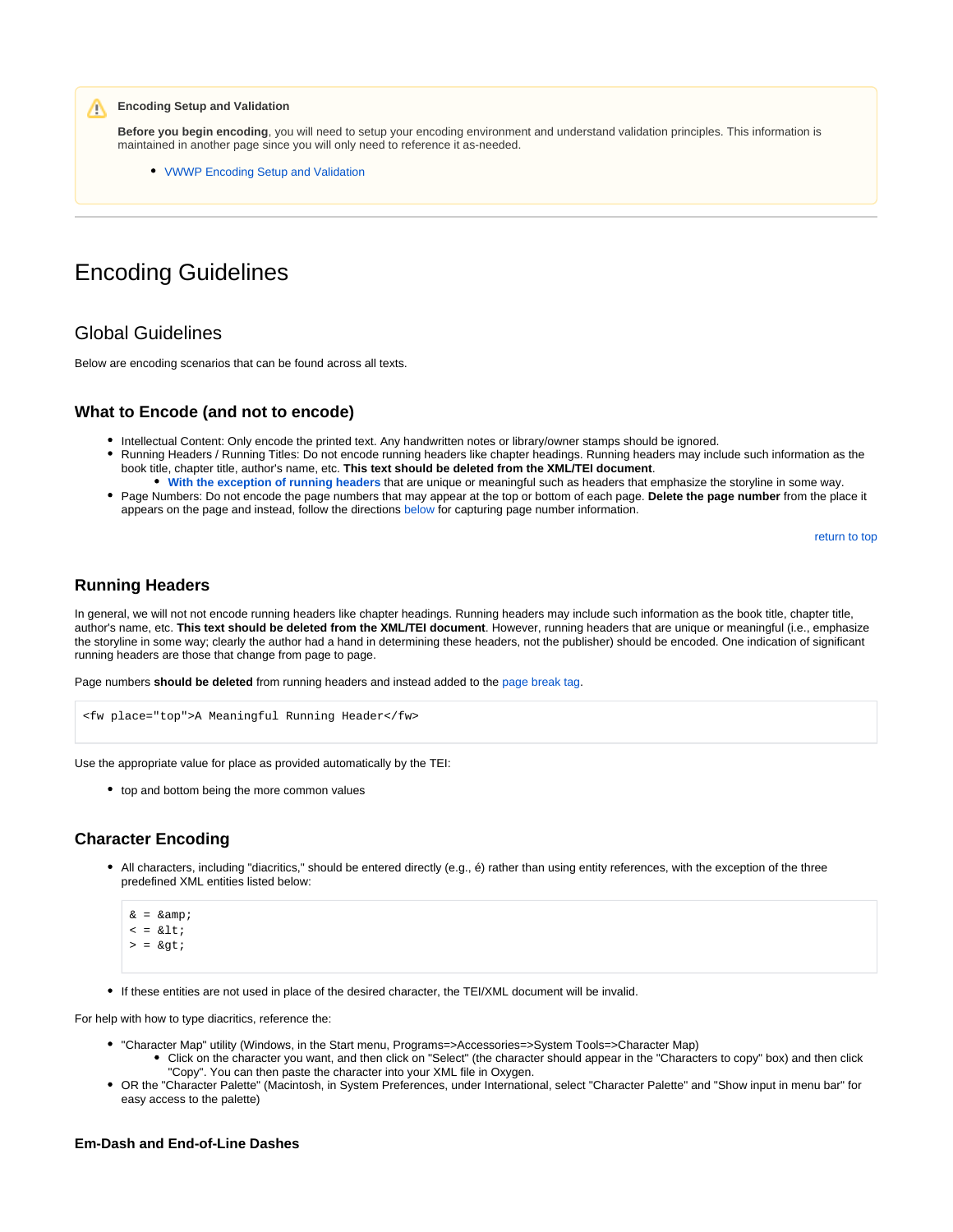**Encoding Setup and Validation**

**Before you begin encoding**, you will need to setup your encoding environment and understand validation principles. This information is maintained in another page since you will only need to reference it as-needed.

[VWWP Encoding Setup and Validation](https://wiki.dlib.indiana.edu/display/vwwp/VWWP+Encoding+Setup+and+Validation)

## <span id="page-2-0"></span>Encoding Guidelines

## <span id="page-2-1"></span>Global Guidelines

Λ

Below are encoding scenarios that can be found across all texts.

### <span id="page-2-2"></span>**What to Encode (and not to encode)**

- Intellectual Content: Only encode the printed text. Any handwritten notes or library/owner stamps should be ignored.
- Running Headers / Running Titles: Do not encode running headers like chapter headings. Running headers may include such information as the book title, chapter title, author's name, etc. **This text should be deleted from the XML/TEI document**.
- **[With the exception of running headers](#page-2-3)** that are unique or meaningful such as headers that emphasize the storyline in some way. • Page Numbers: Do not encode the page numbers that may appear at the top or bottom of each page. Delete the page number from the place it
- appears on the page and instead, follow the directions [below](#page-4-1) for capturing page number information.

[return to top](#page-0-0)

## <span id="page-2-3"></span>**Running Headers**

In general, we will not not encode running headers like chapter headings. Running headers may include such information as the book title, chapter title, author's name, etc. **This text should be deleted from the XML/TEI document**. However, running headers that are unique or meaningful (i.e., emphasize the storyline in some way; clearly the author had a hand in determining these headers, not the publisher) should be encoded. One indication of significant running headers are those that change from page to page.

Page numbers **should be deleted** from running headers and instead added to the [page break tag.](#page-4-1)

```
<fw place="top">A Meaningful Running Header</fw>
```
Use the appropriate value for place as provided automatically by the TEI:

• top and bottom being the more common values

## <span id="page-2-4"></span>**Character Encoding**

All characters, including "diacritics," should be entered directly (e.g., é) rather than using entity references, with the exception of the three predefined XML entities listed below:

```
\& = \& \text{amp}\langle \;\; = \;\; \& \;\mathsf{l}\; \mathsf{t} ;
> = \>
```
If these entities are not used in place of the desired character, the TEI/XML document will be invalid.

For help with how to type diacritics, reference the:

- "Character Map" utility (Windows, in the Start menu, Programs=>Accessories=>System Tools=>Character Map)
	- Click on the character you want, and then click on "Select" (the character should appear in the "Characters to copy" box) and then click "Copy". You can then paste the character into your XML file in Oxygen.
- OR the "Character Palette" (Macintosh, in System Preferences, under International, select "Character Palette" and "Show input in menu bar" for easy access to the palette)

#### **Em-Dash and End-of-Line Dashes**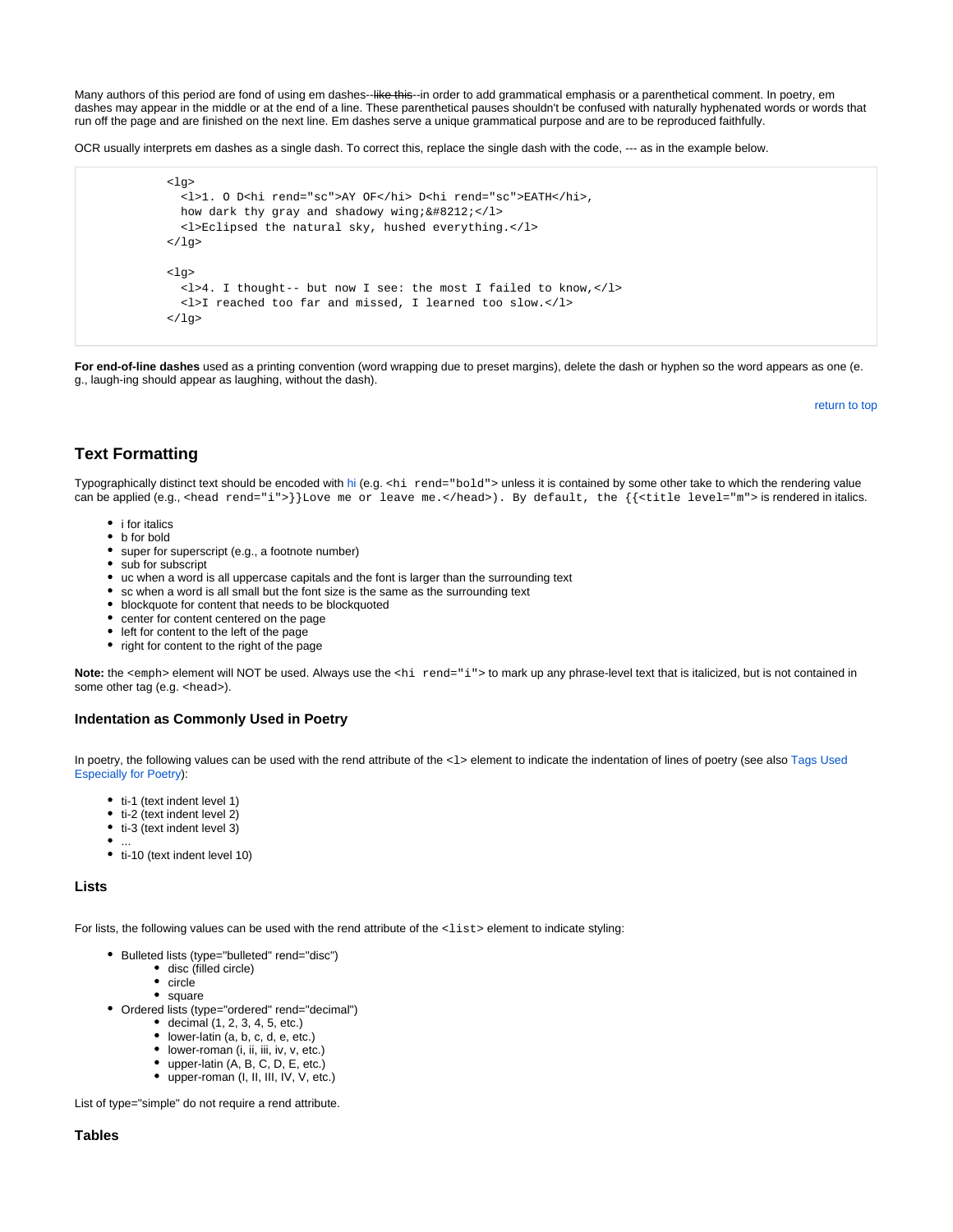Many authors of this period are fond of using em dashes--like thie--in order to add grammatical emphasis or a parenthetical comment. In poetry, em dashes may appear in the middle or at the end of a line. These parenthetical pauses shouldn't be confused with naturally hyphenated words or words that run off the page and are finished on the next line. Em dashes serve a unique grammatical purpose and are to be reproduced faithfully.

OCR usually interprets em dashes as a single dash. To correct this, replace the single dash with the code, --- as in the example below.

```
<sub>l</sub>q<sub>></sub></sub>
   <l>1. O D<hi rend="sc">AY OF</hi> D<hi rend="sc">EATH</hi>,
  how dark thy gray and shadowy wing;&\#8212;</l>
   <l>Eclipsed the natural sky, hushed everything.</l>
\langle /lg>
\langlela>
   <l>4. I thought-- but now I see: the most I failed to know,</l>
   <l>I reached too far and missed, I learned too slow.</l>
\langlelg>
```
**For end-of-line dashes** used as a printing convention (word wrapping due to preset margins), delete the dash or hyphen so the word appears as one (e. g., laugh-ing should appear as laughing, without the dash).

[return to top](#page-0-0)

## <span id="page-3-0"></span>**Text Formatting**

Typographically distinct text should be encoded with [hi](http://www.tei-c.org/release/doc/tei-p5-doc/en/html/ref-hi.html) (e.g. <hi rend="bold"> unless it is contained by some other take to which the rendering value can be applied (e.g., <head rend="i">}}Love me or leave me.</head>). By default, the {{<title level="m"> is rendered in italics.

- i for italics
- b for bold
- super for superscript (e.g., a footnote number)
- sub for subscript
- uc when a word is all uppercase capitals and the font is larger than the surrounding text
- sc when a word is all small but the font size is the same as the surrounding text
- blockquote for content that needs to be blockquoted
- center for content centered on the page
- left for content to the left of the page
- right for content to the right of the page

Note: the <emph> element will NOT be used. Always use the <hi rend="i"> to mark up any phrase-level text that is italicized, but is not contained in some other tag (e.g. <head>).

#### **Indentation as Commonly Used in Poetry**

<span id="page-3-1"></span>In poetry, the following values can be used with the rend attribute of the <1> element to indicate the indentation of lines of poetry (see also Tags Used [Especially for Poetry](https://wiki.dlib.indiana.edu/display/vwwp/Verse)):

- ti-1 (text indent level 1)
- $\bullet$  ti-2 (text indent level 2)
- $\bullet$  ti-3 (text indent level 3)
- ...
- ti-10 (text indent level 10)

#### **Lists**

<span id="page-3-2"></span>For lists, the following values can be used with the rend attribute of the <list>element to indicate styling:

- Bulleted lists (type="bulleted" rend="disc")
	- disc (filled circle)
	- circle
	- square
- Ordered lists (type="ordered" rend="decimal")
	- $\bullet$  decimal (1, 2, 3, 4, 5, etc.)
	- lower-latin (a, b, c, d, e, etc.)
	- lower-roman (i, ii, iii, iv, v, etc.)
	- upper-latin (A, B, C, D, E, etc.)
	- upper-roman (I, II, III, IV, V, etc.)

List of type="simple" do not require a rend attribute.

#### **Tables**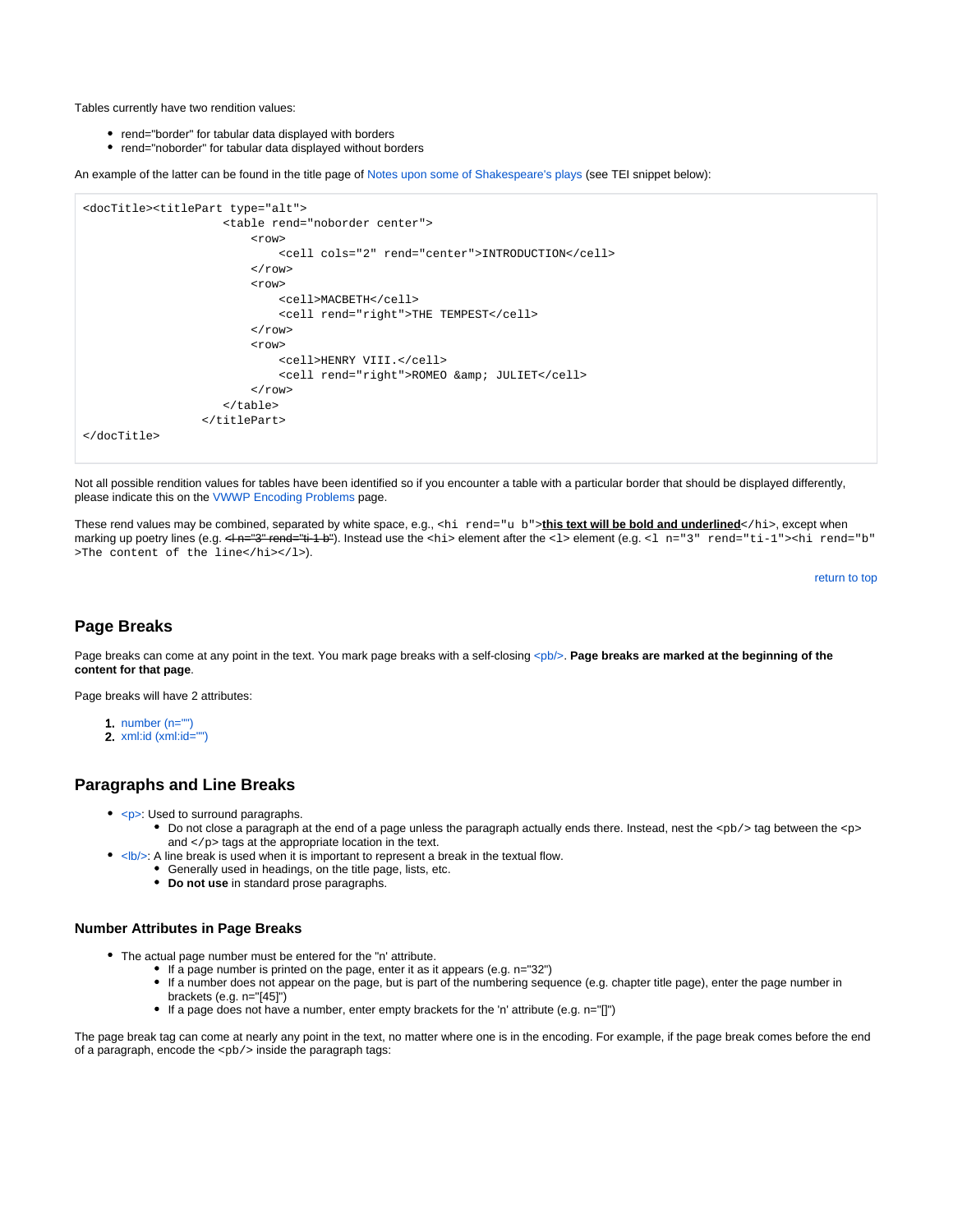<span id="page-4-0"></span>Tables currently have two rendition values:

- rend="border" for tabular data displayed with borders
- rend="noborder" for tabular data displayed without borders

An example of the latter can be found in the title page of [Notes upon some of Shakespeare's plays](http://purl.dlib.indiana.edu/iudl/vwwp/printable/VAB7399) (see TEI snippet below):

```
<docTitle><titlePart type="alt">
                        <table rend="noborder center">
                             <row>
                                  <cell cols="2" rend="center">INTRODUCTION</cell>
                            \langle / r\cap w <row>
                                 <cell>MACBETH</cell>
                                 <cell rend="right">THE TEMPEST</cell>
                            \langle / row\rangle <row>
                                  <cell>HENRY VIII.</cell>
                                <cell rend="right">ROMEO &amp; JULIET</cell>
                            \langle / r\cap w </table>
                     </titlePart>
</docTitle>
```
Not all possible rendition values for tables have been identified so if you encounter a table with a particular border that should be displayed differently, please indicate this on the [VWWP Encoding Problems](https://wiki.dlib.indiana.edu/display/vwwp/VWWP+Encoding+Problems) page.

These rend values may be combined, separated by white space, e.g., <hi rend="u b">this text will be bold and underlined</hi>, except when marking up poetry lines (e.g. <l n="3" rend="ti-1 b"). Instead use the <hi> element after the <l> element (e.g. <l n="3" rend="ti-1"><hi rend="b" >The content of the line</hi></l>>>>>).

```
return to top
```
## <span id="page-4-1"></span>**Page Breaks**

Page breaks can come at any point in the text. You mark page breaks with a self-closing [<pb/>](http://www.tei-c.org/release/doc/tei-p5-doc/en/html/ref-pb.html)>b>. **Page breaks are marked at the beginning of the content for that page**.

Page breaks will have 2 attributes:

- 1. [number \(n=""\)](#page-4-3)
- 2. [xml:id \(xml:id=""\)](#page-5-0)

#### <span id="page-4-2"></span>**Paragraphs and Line Breaks**

- [<p>:](http://www.tei-c.org/release/doc/tei-p5-doc/en/html/ref-p.html) Used to surround paragraphs.
	- Do not close a paragraph at the end of a page unless the paragraph actually ends there. Instead, nest the <pb/> tag between the <p> and  $\langle p \rangle$  tags at the appropriate location in the text.
- [<lb/>:](http://www.tei-c.org/release/doc/tei-p5-doc/en/html/ref-lb.html) A line break is used when it is important to represent a break in the textual flow.
	- Generally used in headings, on the title page, lists, etc.
	- **Do not use** in standard prose paragraphs.

#### <span id="page-4-3"></span>**Number Attributes in Page Breaks**

- The actual page number must be entered for the "n' attribute.
	- If a page number is printed on the page, enter it as it appears (e.g. n="32")
	- If a number does not appear on the page, but is part of the numbering sequence (e.g. chapter title page), enter the page number in brackets (e.g. n="[45]")
	- If a page does not have a number, enter empty brackets for the 'n' attribute (e.g. n="[]")

The page break tag can come at nearly any point in the text, no matter where one is in the encoding. For example, if the page break comes before the end of a paragraph, encode the  $<$  $pb$   $>$  inside the paragraph tags: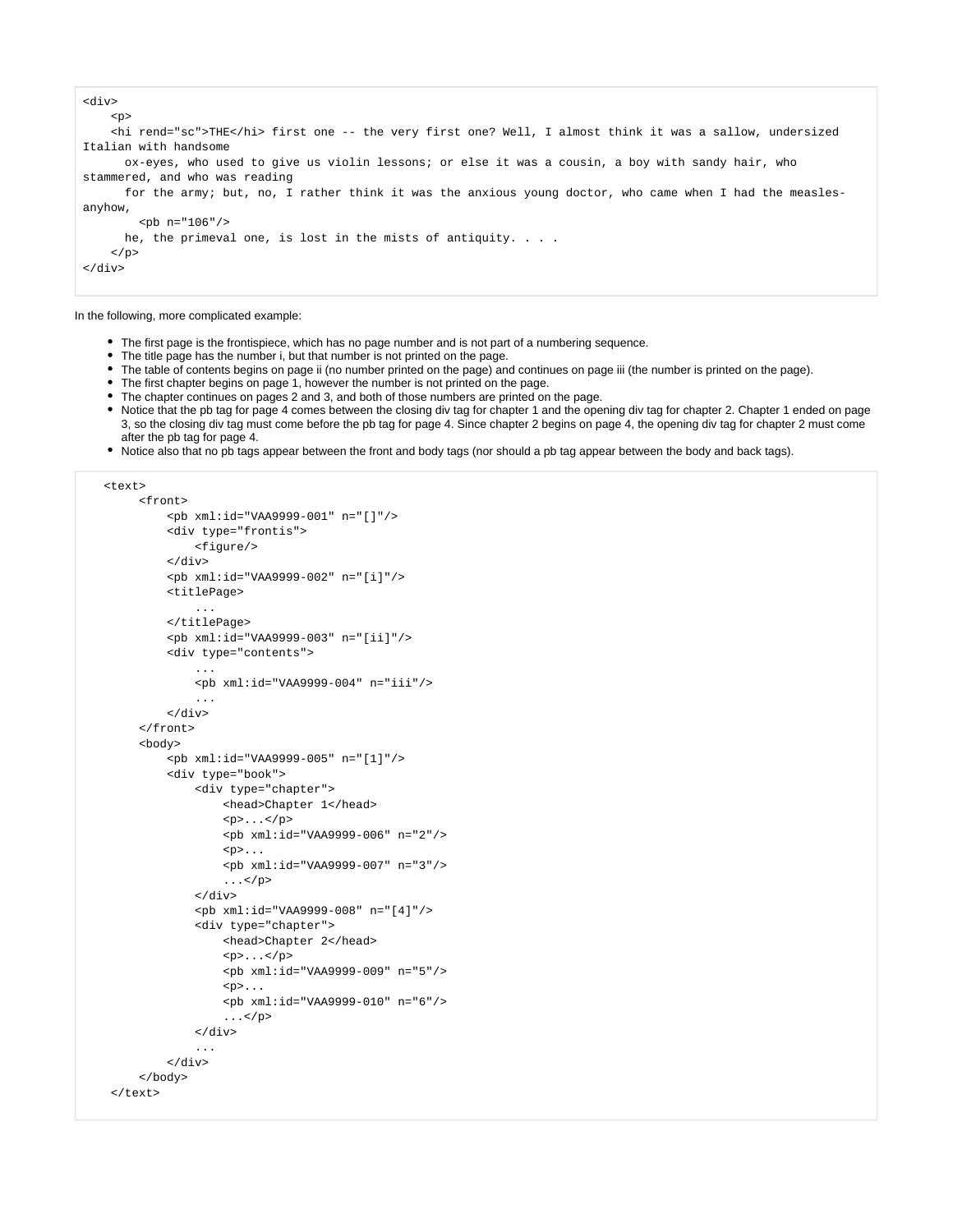```
<div>
    \sim <hi rend="sc">THE</hi> first one -- the very first one? Well, I almost think it was a sallow, undersized 
Italian with handsome
       ox-eyes, who used to give us violin lessons; or else it was a cousin, a boy with sandy hair, who 
stammered, and who was reading
      for the army; but, no, I rather think it was the anxious young doctor, who came when I had the measles-
anyhow,
        <br/> <b>pb</b> n="106" he, the primeval one, is lost in the mists of antiquity. . . .
    \langle/p>
</div>
```
In the following, more complicated example:

- The first page is the frontispiece, which has no page number and is not part of a numbering sequence.
- The title page has the number i, but that number is not printed on the page.
- The table of contents begins on page ii (no number printed on the page) and continues on page iii (the number is printed on the page).
- The first chapter begins on page 1, however the number is not printed on the page.
- The chapter continues on pages 2 and 3, and both of those numbers are printed on the page.
- Notice that the pb tag for page 4 comes between the closing div tag for chapter 1 and the opening div tag for chapter 2. Chapter 1 ended on page 3, so the closing div tag must come before the pb tag for page 4. Since chapter 2 begins on page 4, the opening div tag for chapter 2 must come after the pb tag for page 4.
- Notice also that no pb tags appear between the front and body tags (nor should a pb tag appear between the body and back tags).

```
 <text>
```

```
 <front>
          <pb xml:id="VAA9999-001" n="[]"/>
          <div type="frontis">
              <figure/>
        \langlediv> <pb xml:id="VAA9999-002" n="[i]"/>
         <titlePage>
              ...
         </titlePage>
          <pb xml:id="VAA9999-003" n="[ii]"/>
          <div type="contents">
              ...
              <pb xml:id="VAA9999-004" n="iii"/>
              ...
          </div>
     </front>
     <body>
          <pb xml:id="VAA9999-005" n="[1]"/>
          <div type="book">
              <div type="chapter">
                   <head>Chapter 1</head>
                  < p > . . . < p > <pb xml:id="VAA9999-006" n="2"/>
                  < p > . . . <pb xml:id="VAA9999-007" n="3"/>
                  \ldots </p>
              </div>
              <pb xml:id="VAA9999-008" n="[4]"/>
              <div type="chapter">
                   <head>Chapter 2</head>
                  < p > . . . < p > <pb xml:id="VAA9999-009" n="5"/>
                  <\pmb{\triangleright}...
                   <pb xml:id="VAA9999-010" n="6"/>
                  \ldots </p>
              </div>
               ...
          </div>
     </body>
 </text>
```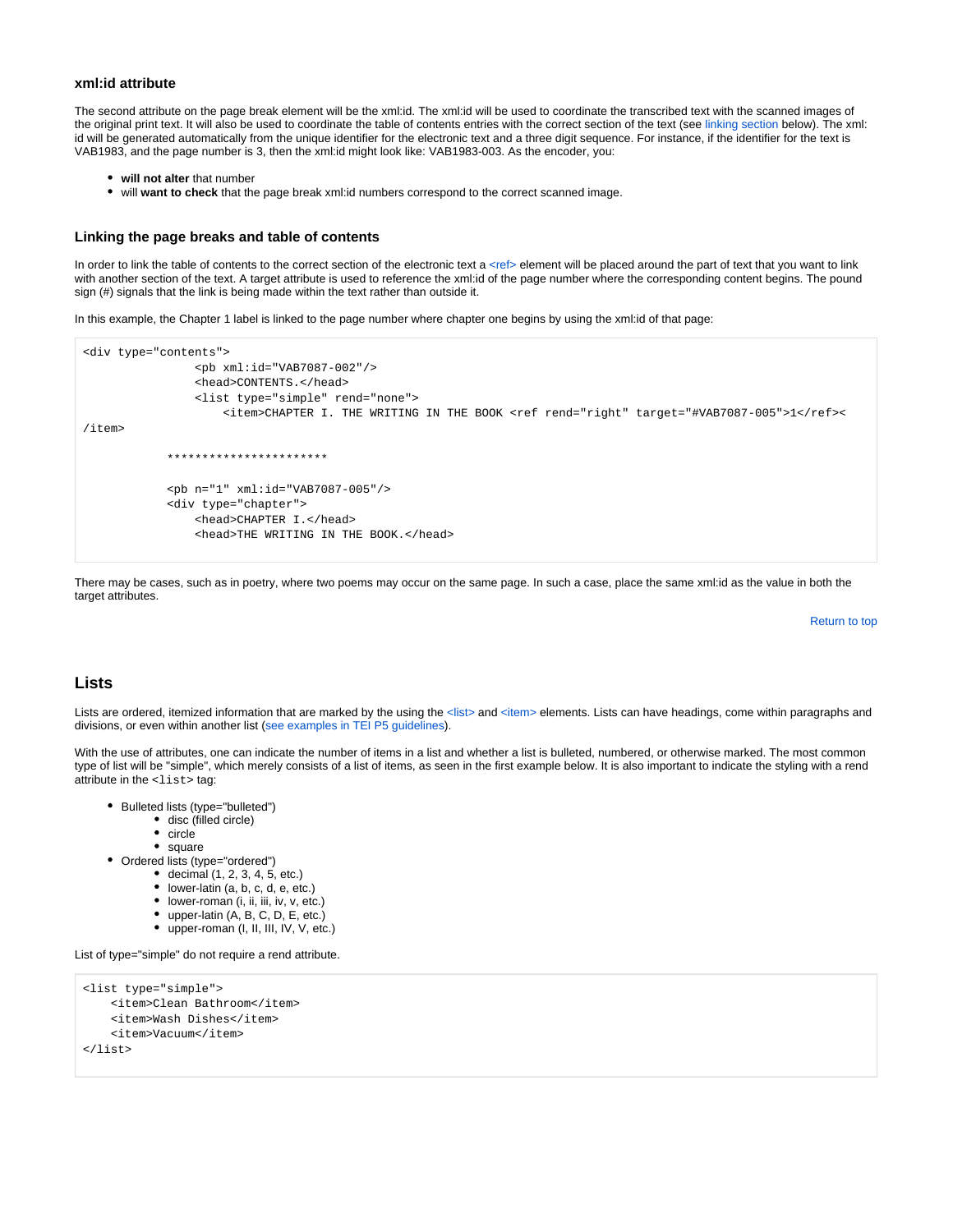#### **xml:id attribute**

The second attribute on the page break element will be the xml:id. The xml:id will be used to coordinate the transcribed text with the scanned images of the original print text. It will also be used to coordinate the table of contents entries with the correct section of the text (see [linking section](#page-6-1) below). The xml: id will be generated automatically from the unique identifier for the electronic text and a three digit sequence. For instance, if the identifier for the text is VAB1983, and the page number is 3, then the xml:id might look like: VAB1983-003. As the encoder, you:

- **will not alter** that number
- will **want to check** that the page break xml:id numbers correspond to the correct scanned image.

#### <span id="page-6-1"></span>**Linking the page breaks and table of contents**

In order to link the table of contents to the correct section of the electronic text a [<ref>](http://www.tei-c.org/release/doc/tei-p5-doc/en/html/ref-ref.html) element will be placed around the part of text that you want to link with another section of the text. A target attribute is used to reference the xml:id of the page number where the corresponding content begins. The pound sign (#) signals that the link is being made within the text rather than outside it.

In this example, the Chapter 1 label is linked to the page number where chapter one begins by using the xml:id of that page:

```
<div type="contents">
                 <pb xml:id="VAB7087-002"/>
                 <head>CONTENTS.</head>
                 <list type="simple" rend="none">
                     <item>CHAPTER I. THE WRITING IN THE BOOK <ref rend="right" target="#VAB7087-005">1</ref><
/item>
             ***********************
             <pb n="1" xml:id="VAB7087-005"/>
             <div type="chapter">
                 <head>CHAPTER I.</head>
                 <head>THE WRITING IN THE BOOK.</head>
```
There may be cases, such as in poetry, where two poems may occur on the same page. In such a case, place the same xml:id as the value in both the target attributes.

[Return to top](#page-0-0)

#### <span id="page-6-0"></span>**Lists**

Lists are ordered, itemized information that are marked by the using the [<list>](http://www.tei-c.org/release/doc/tei-p5-doc/en/html/ref-list.html) and [<item>](http://www.tei-c.org/release/doc/tei-p5-doc/en/html/ref-item.html) elements. Lists can have headings, come within paragraphs and divisions, or even within another list ([see examples in TEI P5 guidelines\)](http://www.tei-c.org/release/doc/tei-p5-doc/en/html/CO.html#COLI).

With the use of attributes, one can indicate the number of items in a list and whether a list is bulleted, numbered, or otherwise marked. The most common type of list will be "simple", which merely consists of a list of items, as seen in the first example below. It is also important to indicate the styling with a rend attribute in the <list> tag:

- Bulleted lists (type="bulleted")
	- disc (filled circle)
	- circle
	- square
- Ordered lists (type="ordered")
	- $\bullet$  decimal  $(1, 2, 3, 4, 5, etc.)$
	- lower-latin (a, b, c, d, e, etc.)
	- lower-roman (i, ii, iii, iv, v, etc.)
	- upper-latin (A, B, C, D, E, etc.)
	- upper-roman (I, II, III, IV, V, etc.)

List of type="simple" do not require a rend attribute.

```
<list type="simple">
     <item>Clean Bathroom</item>
     <item>Wash Dishes</item>
     <item>Vacuum</item>
</list>
```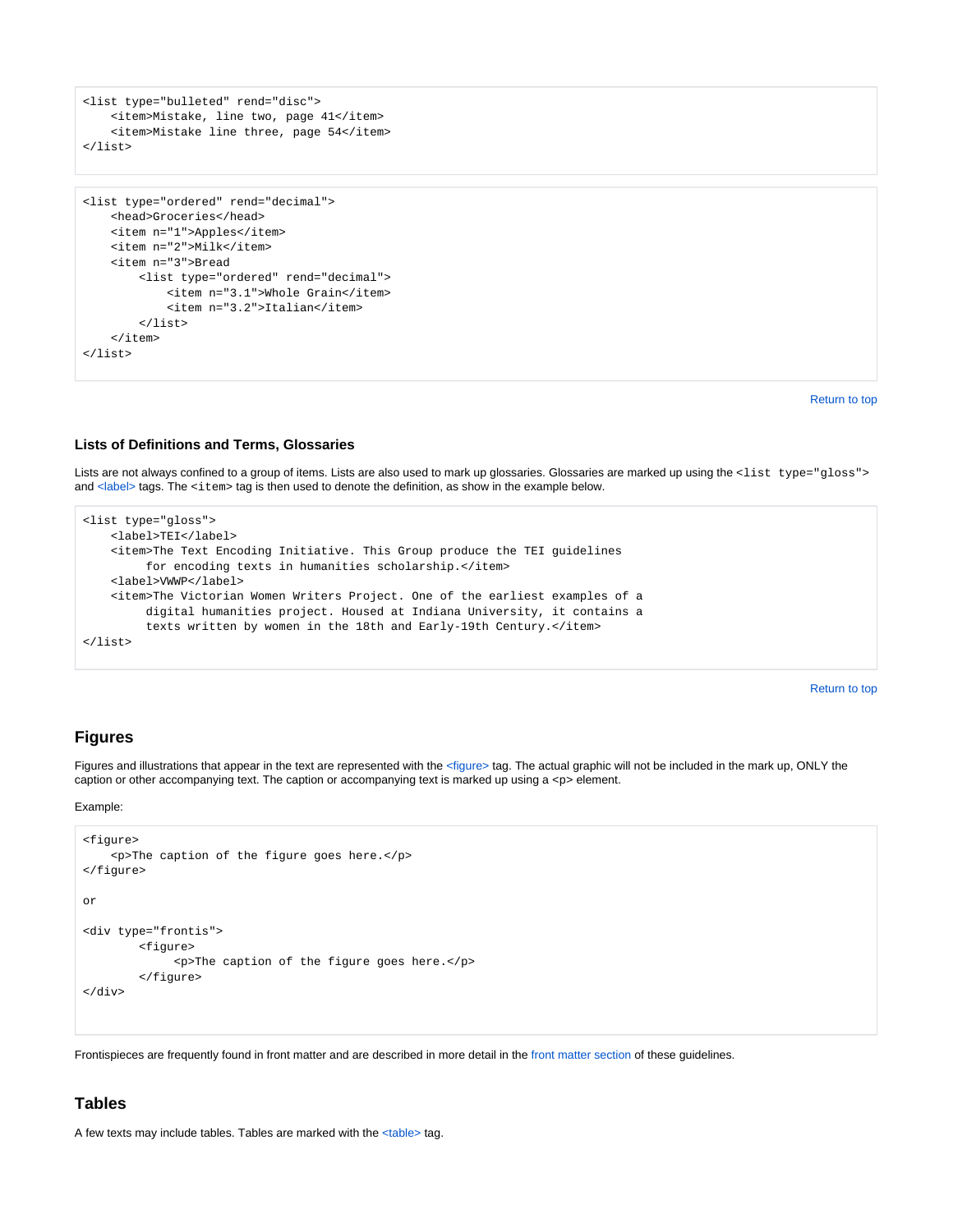```
<list type="bulleted" rend="disc">
   <item>Mistake, line two, page 41</item>
     <item>Mistake line three, page 54</item>
</list>
```

```
<list type="ordered" rend="decimal">
     <head>Groceries</head>
    <item n="1">Apples</item>
     <item n="2">Milk</item>
     <item n="3">Bread
         <list type="ordered" rend="decimal">
             <item n="3.1">Whole Grain</item>
             <item n="3.2">Italian</item>
         </list>
     </item>
</list>
```
[Return to top](#page-0-0)

#### **Lists of Definitions and Terms, Glossaries**

Lists are not always confined to a group of items. Lists are also used to mark up glossaries. Glossaries are marked up using the <list type="gloss"> and [<label>](http://www.tei-c.org/release/doc/tei-p5-doc/en/html/ref-label.html) tags. The <item> tag is then used to denote the definition, as show in the example below.

```
<list type="gloss">
     <label>TEI</label>
     <item>The Text Encoding Initiative. This Group produce the TEI guidelines
         for encoding texts in humanities scholarship.</item>
     <label>VWWP</label>
     <item>The Victorian Women Writers Project. One of the earliest examples of a
         digital humanities project. Housed at Indiana University, it contains a
         texts written by women in the 18th and Early-19th Century.</item>
</list>
```
[Return to top](#page-0-0)

## **Figures**

Figures and illustrations that appear in the text are represented with the [<figure>](http://www.tei-c.org/release/doc/tei-p5-doc/en/html/ref-figure.html)tag. The actual graphic will not be included in the mark up, ONLY the caption or other accompanying text. The caption or accompanying text is marked up using a  $<sub>z</sub>$  element.</sub>

Example:

```
<figure>
     <p>The caption of the figure goes here.</p>
</figure>
or
<div type="frontis">
         <figure>
              <p>The caption of the figure goes here.</p>
         </figure>
</div>
```
Frontispieces are frequently found in front matter and are described in more detail in the [front matter section](https://wiki.dlib.indiana.edu/display/vwwp/Front+Matter#FrontMatter-frontis) of these guidelines.

#### **Tables**

A few texts may include tables. Tables are marked with the [<table>](http://www.tei-c.org/release/doc/tei-p5-doc/en/html/ref-table.html) tag.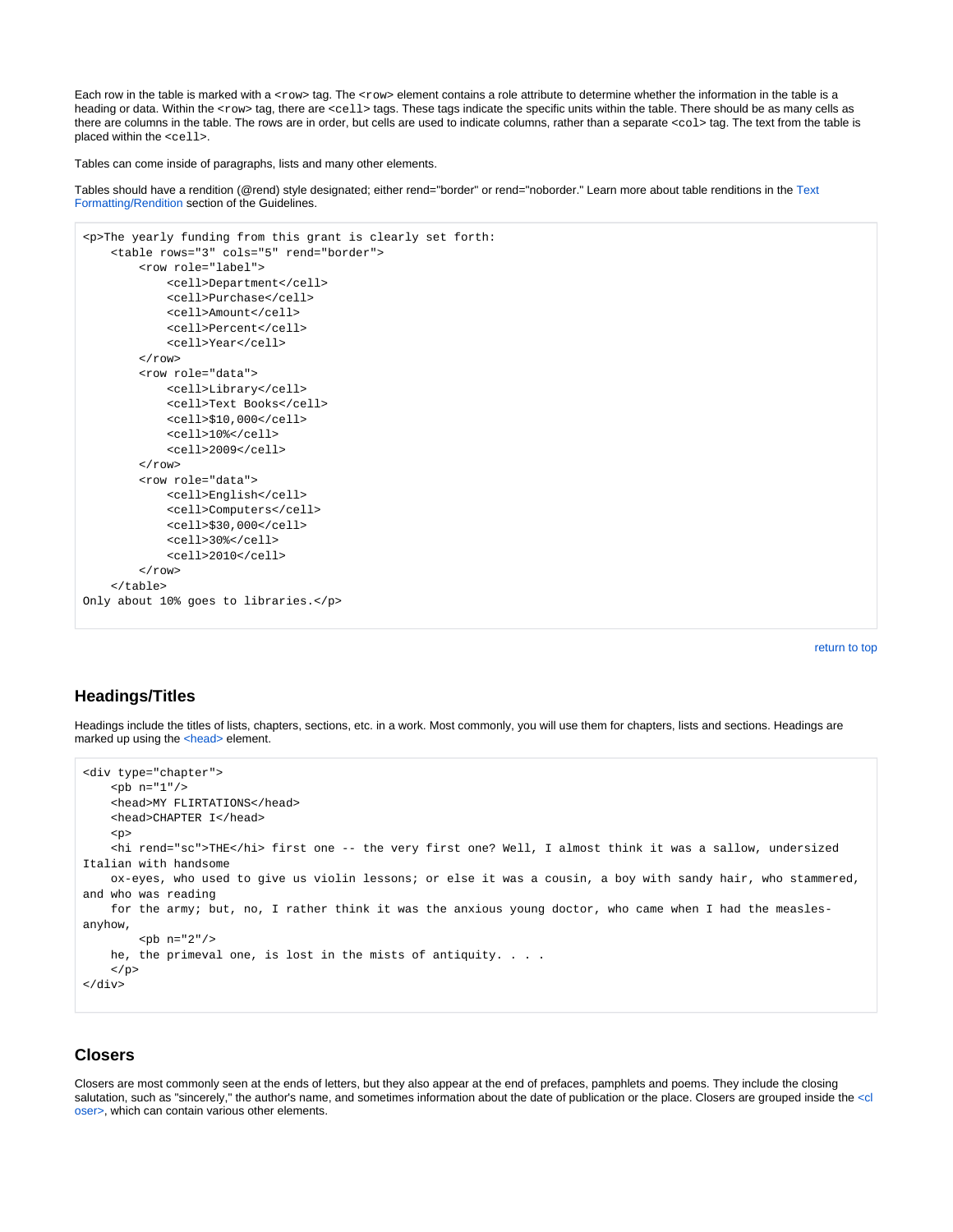Each row in the table is marked with a <row> tag. The <row> element contains a role attribute to determine whether the information in the table is a heading or data. Within the <row> tag, there are <cell> tags. These tags indicate the specific units within the table. There should be as many cells as there are columns in the table. The rows are in order, but cells are used to indicate columns, rather than a separate <col> tag. The text from the table is placed within the <cell>.

Tables can come inside of paragraphs, lists and many other elements.

Tables should have a rendition (@rend) style designated; either rend="border" or rend="noborder." Learn more about table renditions in the [Text](#page-4-0)  [Formatting/Rendition](#page-4-0) section of the Guidelines.

```
<p>The yearly funding from this grant is clearly set forth:
     <table rows="3" cols="5" rend="border">
         <row role="label">
              <cell>Department</cell>
              <cell>Purchase</cell>
              <cell>Amount</cell>
              <cell>Percent</cell>
              <cell>Year</cell>
        \langle / r \cap w > <row role="data">
              <cell>Library</cell>
              <cell>Text Books</cell>
              <cell>$10,000</cell>
              <cell>10%</cell>
              <cell>2009</cell>
        \langle row>
         <row role="data">
              <cell>English</cell>
              <cell>Computers</cell>
              <cell>$30,000</cell>
              <cell>30%</cell>
              <cell>2010</cell>
        \langle row>
     </table>
Only about 10% goes to libraries.</p>
```
[return to top](#page-0-0)

### **Headings/Titles**

Headings include the titles of lists, chapters, sections, etc. in a work. Most commonly, you will use them for chapters, lists and sections. Headings are marked up using the [<head>](http://www.tei-c.org/release/doc/tei-p5-doc/en/html/ref-head.html) element.

```
<div type="chapter">
     <pb n="1"/>
     <head>MY FLIRTATIONS</head>
     <head>CHAPTER I</head>
     <p>
     <hi rend="sc">THE</hi> first one -- the very first one? Well, I almost think it was a sallow, undersized 
Italian with handsome
     ox-eyes, who used to give us violin lessons; or else it was a cousin, a boy with sandy hair, who stammered, 
and who was reading
     for the army; but, no, I rather think it was the anxious young doctor, who came when I had the measles-
anyhow,
        <br/> <p>pb n="2"/>
    he, the primeval one, is lost in the mists of antiquity. . . .
    \langle/p>
</div>
```
#### **Closers**

Closers are most commonly seen at the ends of letters, but they also appear at the end of prefaces, pamphlets and poems. They include the closing salutation, such as "sincerely," the author's name, and sometimes information about the date of publication or the place. Closers are grouped inside the [<cl](http://www.tei-c.org/release/doc/tei-p5-doc/en/html/ref-closer.html) [oser>,](http://www.tei-c.org/release/doc/tei-p5-doc/en/html/ref-closer.html) which can contain various other elements.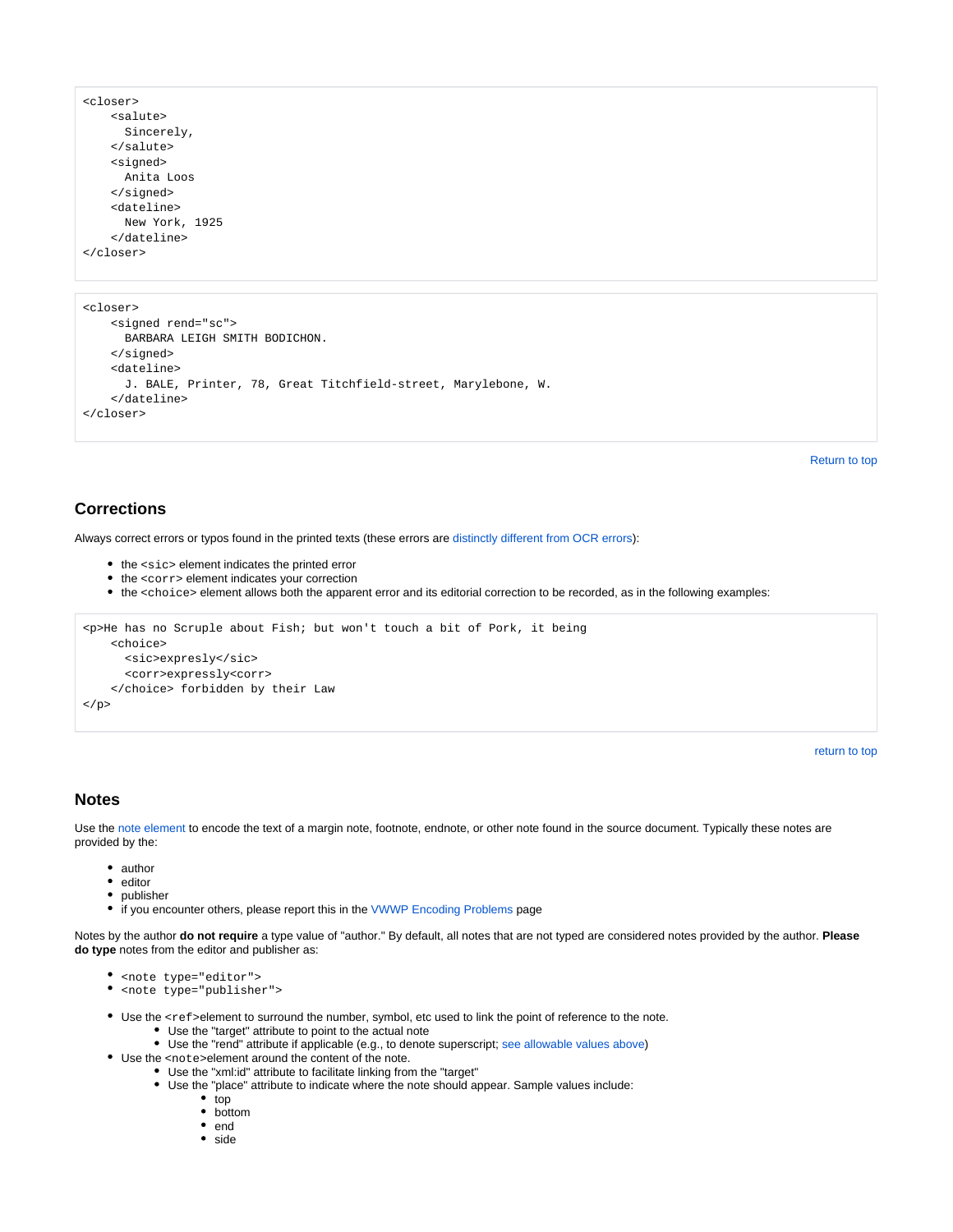```
<closer>
    <salute>
       Sincerely,
     </salute>
     <signed>
      Anita Loos
     </signed>
     <dateline>
       New York, 1925
     </dateline>
</closer>
```

```
<closer>
    <signed rend="sc">
      BARBARA LEIGH SMITH BODICHON.
     </signed>
     <dateline>
      J. BALE, Printer, 78, Great Titchfield-street, Marylebone, W.
     </dateline>
</closer>
```
[Return to top](#page-0-0)

## <span id="page-9-0"></span>**Corrections**

Always correct errors or typos found in the printed texts (these errors are [distinctly different from OCR errors](https://wiki.dlib.indiana.edu/display/vwwp/VWWP+Encoding+Setup+and+Validation#VWWPEncodingSetupandValidation-ocr)):

- the <sic> element indicates the printed error
- the <corr> element indicates your correction
- the <choice> element allows both the apparent error and its editorial correction to be recorded, as in the following examples:

```
<p>He has no Scruple about Fish; but won't touch a bit of Pork, it being
    <choice>
       <sic>expresly</sic>
       <corr>expressly<corr>
     </choice> forbidden by their Law
\langle/p>
```
[return to top](#page-0-0)

## <span id="page-9-1"></span>**Notes**

Use the [note element](http://www.tei-c.org/release/doc/tei-p5-doc/en/html/ref-note.html) to encode the text of a margin note, footnote, endnote, or other note found in the source document. Typically these notes are provided by the:

- author
- editor  $\bullet$
- publisher
- if you encounter others, please report this in the [VWWP Encoding Problems](https://wiki.dlib.indiana.edu/display/vwwp/VWWP+Encoding+Problems) page

Notes by the author **do not require** a type value of "author." By default, all notes that are not typed are considered notes provided by the author. **Please do type** notes from the editor and publisher as:

- < note type="editor">
- < note type="publisher">
- Use the <ref>element to surround the number, symbol, etc used to link the point of reference to the note.
	- Use the "target" attribute to point to the actual note
	- Use the "rend" attribute if applicable (e.g., to denote superscript; [see allowable values above](#page-3-0))
- Use the <note>element around the content of the note.
	- Use the "xml:id" attribute to facilitate linking from the "target"
		- Use the "place" attribute to indicate where the note should appear. Sample values include:
			- top
			- bottom
			- end
			- side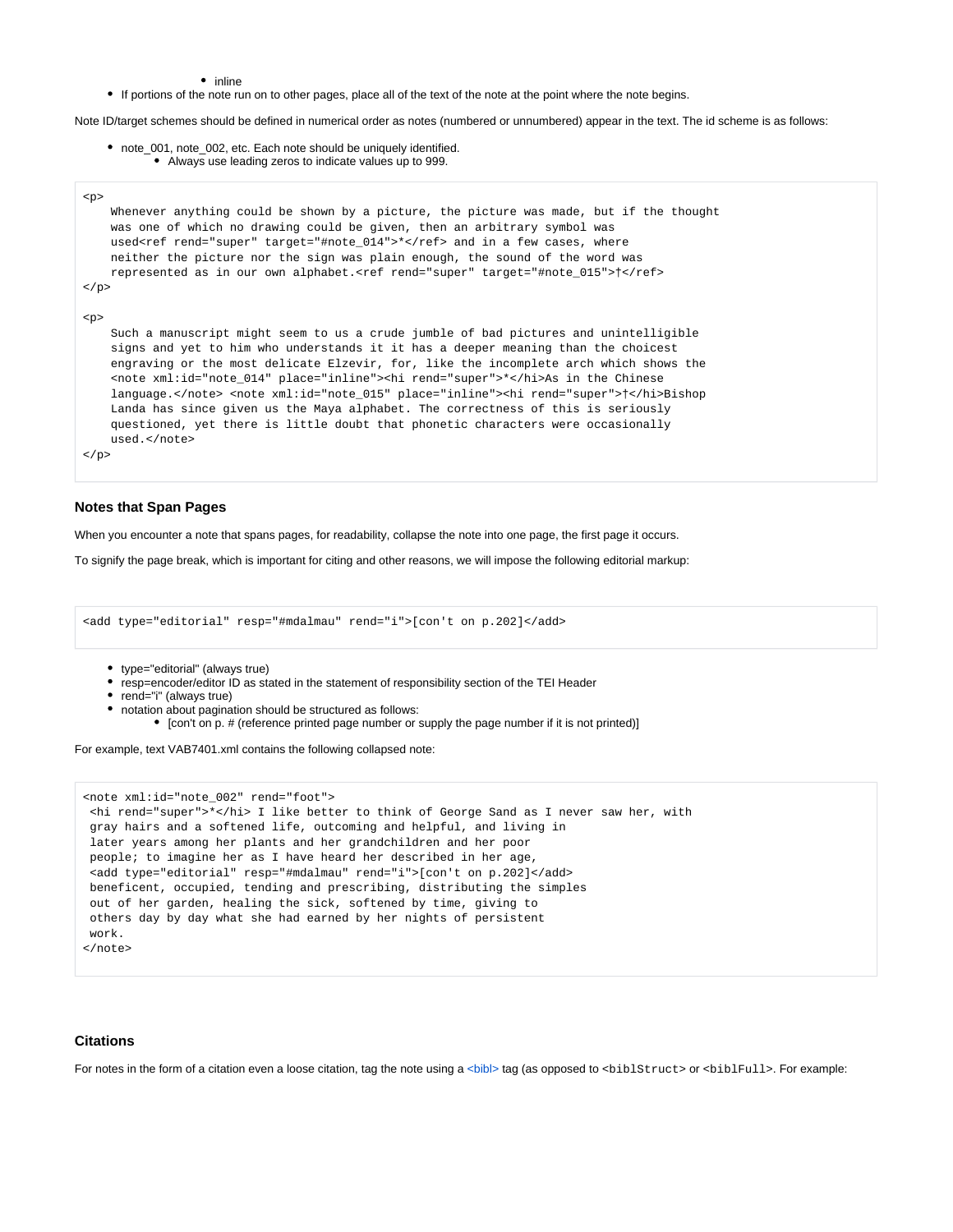- inline
- If portions of the note run on to other pages, place all of the text of the note at the point where the note begins.

Note ID/target schemes should be defined in numerical order as notes (numbered or unnumbered) appear in the text. The id scheme is as follows:

note\_001, note\_002, etc. Each note should be uniquely identified. Always use leading zeros to indicate values up to 999.

```
<p>
    Whenever anything could be shown by a picture, the picture was made, but if the thought
    was one of which no drawing could be given, then an arbitrary symbol was
   used<ref rend="super" target="#note_014">*</ref> and in a few cases, where
    neither the picture nor the sign was plain enough, the sound of the word was
    represented as in our own alphabet.<ref rend="super" target="#note_015">†</ref>
\langle/p>
<p>
    Such a manuscript might seem to us a crude jumble of bad pictures and unintelligible
    signs and yet to him who understands it it has a deeper meaning than the choicest
    engraving or the most delicate Elzevir, for, like the incomplete arch which shows the
    <note xml:id="note_014" place="inline"><hi rend="super">*</hi>As in the Chinese
     language.</note> <note xml:id="note_015" place="inline"><hi rend="super">†</hi>Bishop
    Landa has since given us the Maya alphabet. The correctness of this is seriously
    questioned, yet there is little doubt that phonetic characters were occasionally
    used.</note>
\langle/p>
```
#### **Notes that Span Pages**

When you encounter a note that spans pages, for readability, collapse the note into one page, the first page it occurs.

To signify the page break, which is important for citing and other reasons, we will impose the following editorial markup:

<add type="editorial" resp="#mdalmau" rend="i">[con't on p.202]</add>

- type="editorial" (always true)
- resp=encoder/editor ID as stated in the statement of responsibility section of the TEI Header
- rend="i" (always true)
- notation about pagination should be structured as follows:
	- [con't on p. # (reference printed page number or supply the page number if it is not printed)]

For example, text VAB7401.xml contains the following collapsed note:

```
<note xml:id="note_002" rend="foot">
 <hi rend="super">*</hi> I like better to think of George Sand as I never saw her, with
 gray hairs and a softened life, outcoming and helpful, and living in
 later years among her plants and her grandchildren and her poor
 people; to imagine her as I have heard her described in her age, 
 <add type="editorial" resp="#mdalmau" rend="i">[con't on p.202]</add> 
 beneficent, occupied, tending and prescribing, distributing the simples 
 out of her garden, healing the sick, softened by time, giving to
 others day by day what she had earned by her nights of persistent
 work.
</note>
```
#### <span id="page-10-0"></span>**Citations**

For notes in the form of a citation even a loose citation, tag the note using a <br/>  $\langle$ bibl> tag (as opposed to <br/>>biblStruct> or <br/> <br/>biblFull>. For example: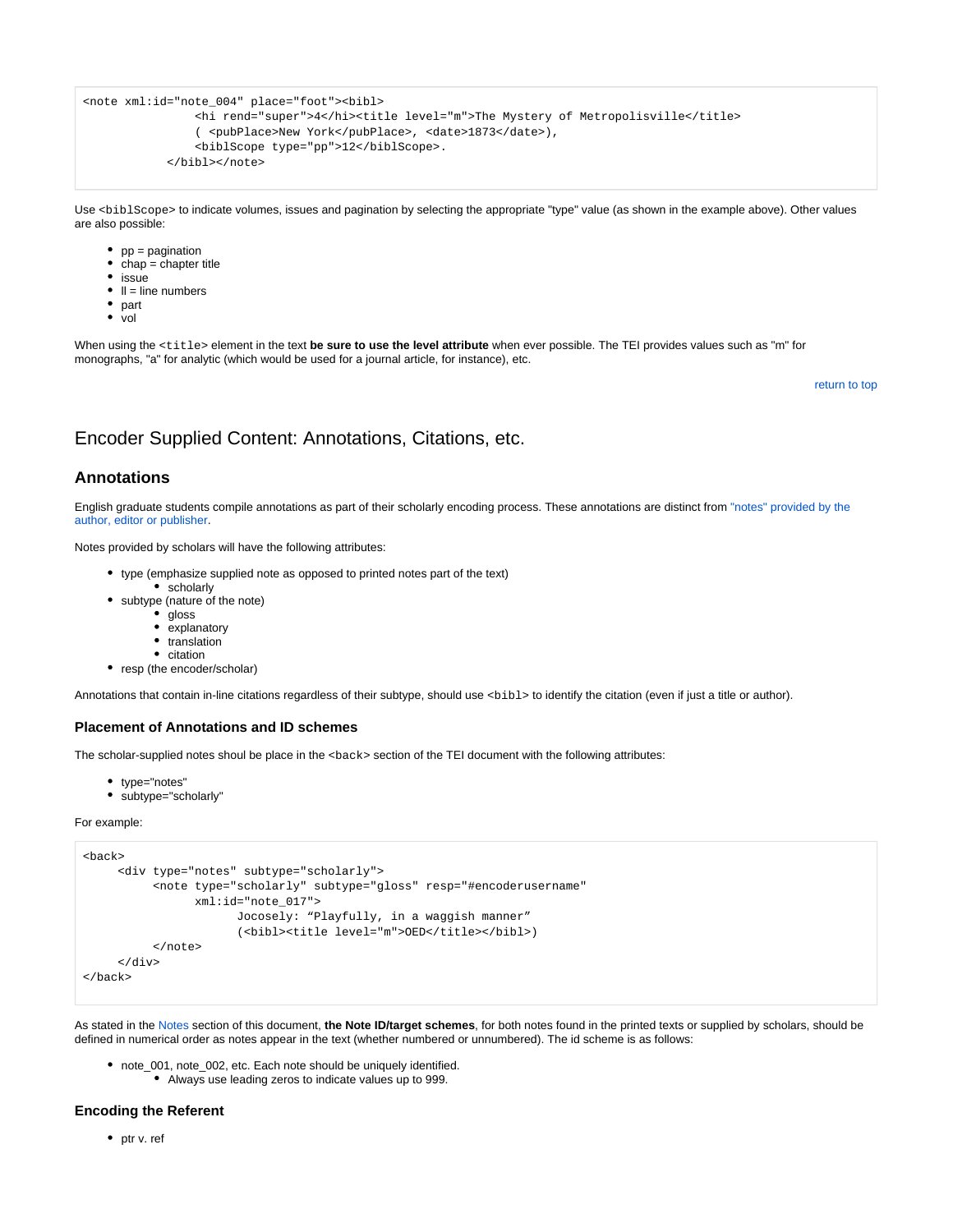```
<note xml:id="note_004" place="foot"><bibl>
                 <hi rend="super">4</hi><title level="m">The Mystery of Metropolisville</title>
                 ( <pubPlace>New York</pubPlace>, <date>1873</date>),
                 <biblScope type="pp">12</biblScope>.
             </bibl></note>
```
Use <biblScope> to indicate volumes, issues and pagination by selecting the appropriate "type" value (as shown in the example above). Other values are also possible:

- $pp =$  pagination
- chap = chapter title
- issue
- $\bullet$   $\parallel$  = line numbers
- part
- vol

When using the <title> element in the text be sure to use the level attribute when ever possible. The TEI provides values such as "m" for monographs, "a" for analytic (which would be used for a journal article, for instance), etc.

[return to top](#page-0-0)

## <span id="page-11-0"></span>Encoder Supplied Content: Annotations, Citations, etc.

### **Annotations**

English graduate students compile annotations as part of their scholarly encoding process. These annotations are distinct from ["notes" provided by the](#page-9-1)  [author, editor or publisher](#page-9-1).

Notes provided by scholars will have the following attributes:

- type (emphasize supplied note as opposed to printed notes part of the text)
- scholarly subtype (nature of the note)
	- gloss
	- explanatory
	- translation
	- citation
- resp (the encoder/scholar)

Annotations that contain in-line citations regardless of their subtype, should use <bibl> to identify the citation (even if just a title or author).

#### **Placement of Annotations and ID schemes**

The scholar-supplied notes shoul be place in the <back> section of the TEI document with the following attributes:

- type="notes"
- subtype="scholarly"

For example:

```
<back>
      <div type="notes" subtype="scholarly">
           <note type="scholarly" subtype="gloss" resp="#encoderusername" 
                  xml:id="note_017">
                        Jocosely: "Playfully, in a waggish manner" 
                        (<br/>bibl><title level="m">OED</title></bibl>)</
           </note>
      </div>
</back>
```
As stated in the [Notes](#page-9-1) section of this document, **the Note ID/target schemes**, for both notes found in the printed texts or supplied by scholars, should be defined in numerical order as notes appear in the text (whether numbered or unnumbered). The id scheme is as follows:

- note\_001, note\_002, etc. Each note should be uniquely identified.
	- Always use leading zeros to indicate values up to 999.

#### **Encoding the Referent**

• ptr v. ref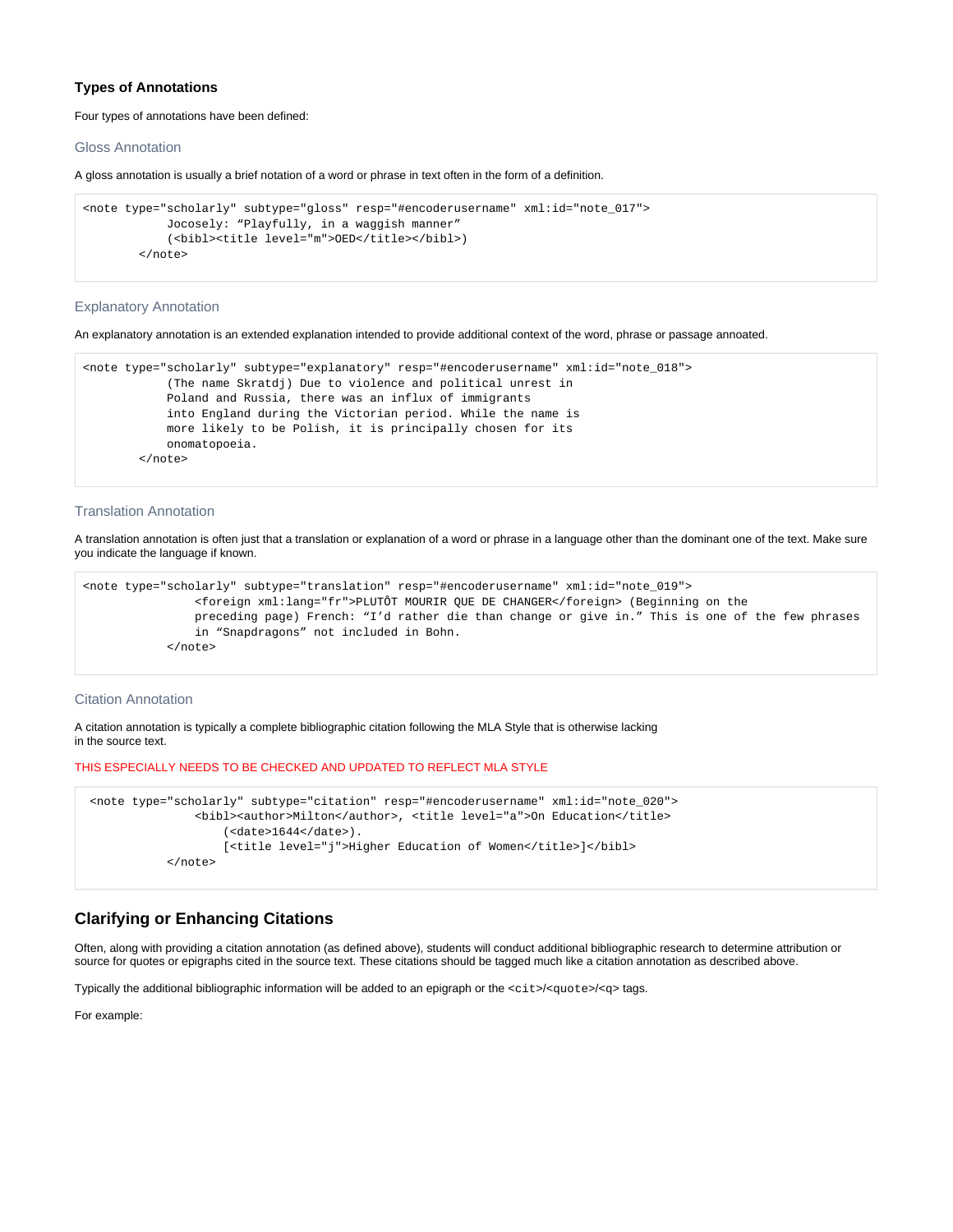#### **Types of Annotations**

#### Four types of annotations have been defined:

#### Gloss Annotation

A gloss annotation is usually a brief notation of a word or phrase in text often in the form of a definition.

```
<note type="scholarly" subtype="gloss" resp="#encoderusername" xml:id="note_017">
             Jocosely: "Playfully, in a waggish manner"
             (<bibl><title level="m">OED</title></bibl>)
         </note>
```
#### Explanatory Annotation

An explanatory annotation is an extended explanation intended to provide additional context of the word, phrase or passage annoated.

```
<note type="scholarly" subtype="explanatory" resp="#encoderusername" xml:id="note_018">
             (The name Skratdj) Due to violence and political unrest in
            Poland and Russia, there was an influx of immigrants
            into England during the Victorian period. While the name is
            more likely to be Polish, it is principally chosen for its
            onomatopoeia.
         </note>
```
#### Translation Annotation

A translation annotation is often just that a translation or explanation of a word or phrase in a language other than the dominant one of the text. Make sure you indicate the language if known.

```
<note type="scholarly" subtype="translation" resp="#encoderusername" xml:id="note_019">
                 <foreign xml:lang="fr">PLUTÔT MOURIR QUE DE CHANGER</foreign> (Beginning on the
                 preceding page) French: "I'd rather die than change or give in." This is one of the few phrases
                 in "Snapdragons" not included in Bohn.
             </note>
```
#### Citation Annotation

A citation annotation is typically a complete bibliographic citation following the MLA Style that is otherwise lacking in the source text.

#### THIS ESPECIALLY NEEDS TO BE CHECKED AND UPDATED TO REFLECT MLA STYLE

```
 <note type="scholarly" subtype="citation" resp="#encoderusername" xml:id="note_020">
                <bibl><author>Milton</author>, <title level="a">On Education</title>
                    (<date>1644</date>).
                   [<title level="j">Higher Education of Women</title>]</bibl>
            </note>
```
### **Clarifying or Enhancing Citations**

Often, along with providing a citation annotation (as defined above), students will conduct additional bibliographic research to determine attribution or source for quotes or epigraphs cited in the source text. These citations should be tagged much like a citation annotation as described above.

Typically the additional bibliographic information will be added to an epigraph or the <cit>/<quote>/<q> tags.

For example: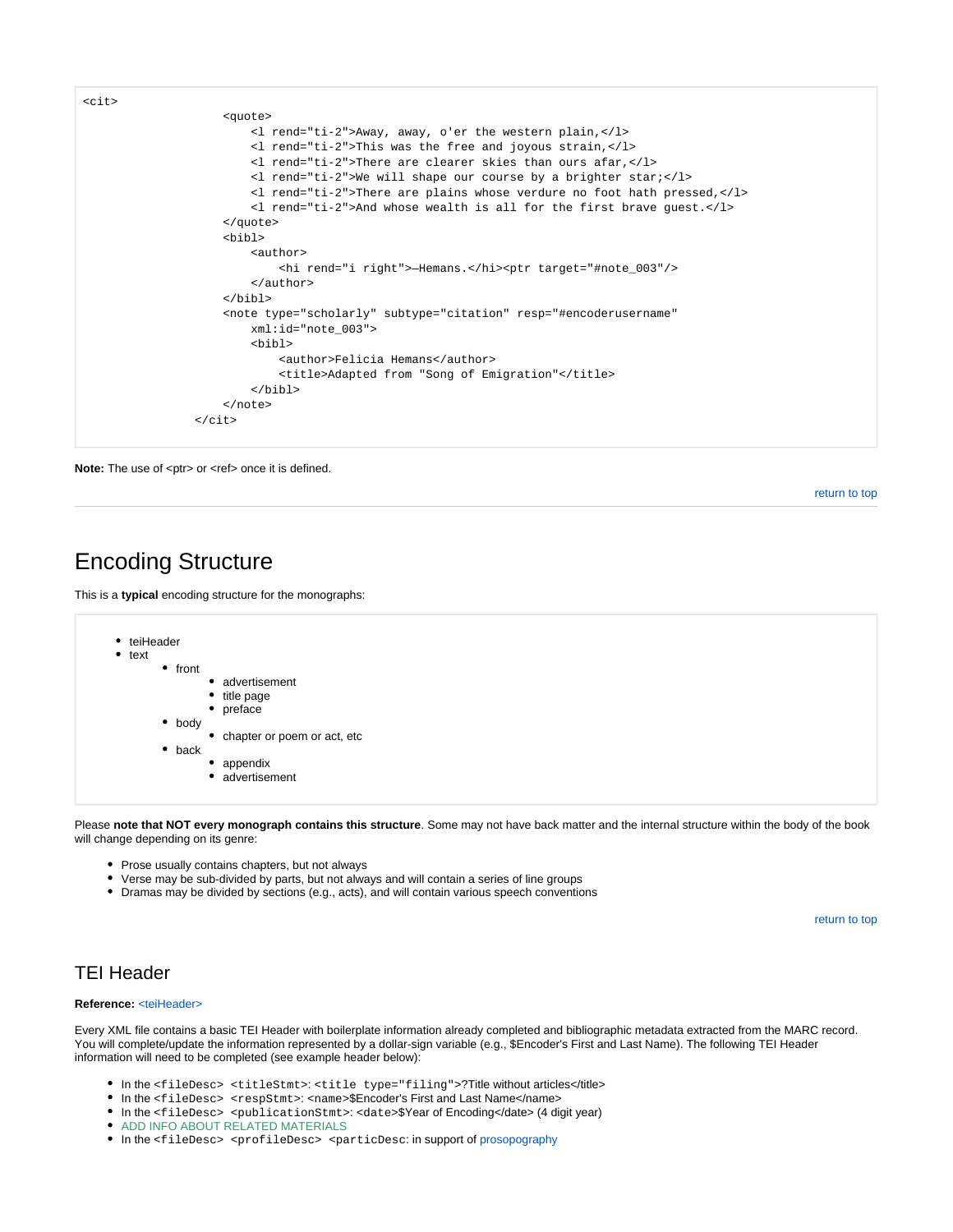

Note: The use of <ptr> or <ref> once it is defined.

[return to top](#page-0-0)

## <span id="page-13-0"></span>Encoding Structure

This is a **typical** encoding structure for the monographs:

| • teiHeader<br>text<br>front<br>$\bullet$<br>٠<br>body<br>back | • advertisement<br>• title page<br>preface<br>chapter or poem or act, etc<br>appendix<br>• advertisement |
|----------------------------------------------------------------|----------------------------------------------------------------------------------------------------------|
|----------------------------------------------------------------|----------------------------------------------------------------------------------------------------------|

Please **note that NOT every monograph contains this structure**. Some may not have back matter and the internal structure within the body of the book will change depending on its genre:

- Prose usually contains chapters, but not always
- Verse may be sub-divided by parts, but not always and will contain a series of line groups
- Dramas may be divided by sections (e.g., acts), and will contain various speech conventions

[return to top](#page-0-0)

## <span id="page-13-1"></span>TEI Header

#### **Reference:** [<teiHeader>](http://www.tei-c.org/release/doc/tei-p5-doc/en/html/HD.html)

Every XML file contains a basic TEI Header with boilerplate information already completed and bibliographic metadata extracted from the MARC record. You will complete/update the information represented by a dollar-sign variable (e.g., \$Encoder's First and Last Name). The following TEI Header information will need to be completed (see example header below):

- In the <fileDesc> <titleStmt>: <title type="filing">?Title without articles</title>
- In the <fileDesc> <respStmt>: <name>\$Encoder's First and Last Name</name>
- In the <fileDesc> <publicationStmt>: <date>\$Year of Encoding</date> (4 digit year)
- **ADD INFO ABOUT RELATED MATERIALS**
- In the <fileDesc> <profileDesc> <particDesc: in support of prosopography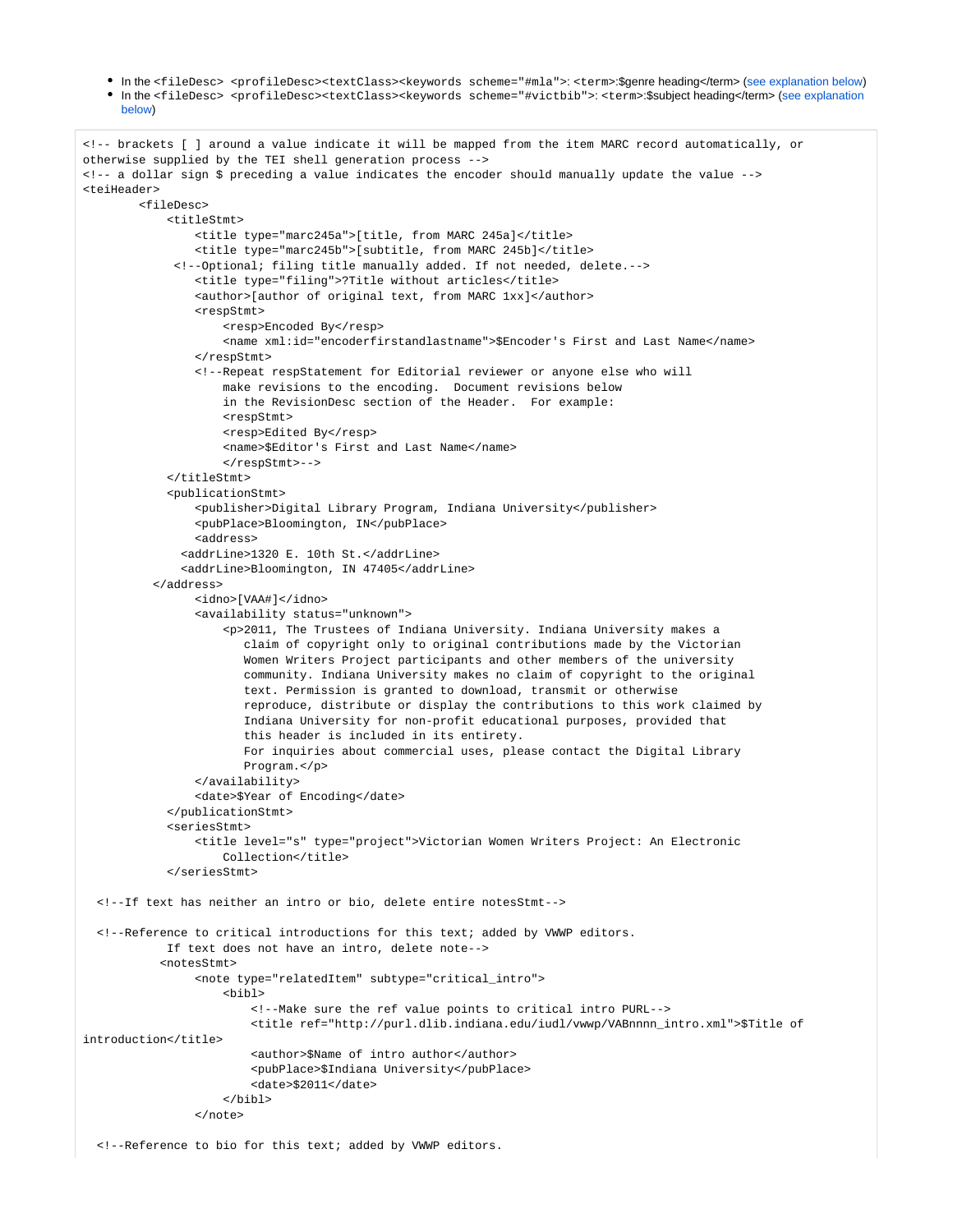In the <fileDesc> <profileDesc><textClass><keywords scheme="#mla">: <term>:\$genre heading</term> [\(see explanation below](#page-18-2)) In the <fileDesc> <profileDesc><textClass><keywords scheme="#victbib">: <term>:\$subject heading</term> ([see explanation](#page-18-2) 

```
below)
```

```
<!-- brackets [ ] around a value indicate it will be mapped from the item MARC record automatically, or 
otherwise supplied by the TEI shell generation process -->
<!-- a dollar sign $ preceding a value indicates the encoder should manually update the value -->
<teiHeader>
         <fileDesc>
            zt++1aStmt\sim <title type="marc245a">[title, from MARC 245a]</title>
                 <title type="marc245b">[subtitle, from MARC 245b]</title>
              <!--Optional; filing title manually added. If not needed, delete.-->
                 <title type="filing">?Title without articles</title>
                 <author>[author of original text, from MARC 1xx]</author>
                 <respStmt>
                    <resp>Encoded By</resp>
                     <name xml:id="encoderfirstandlastname">$Encoder's First and Last Name</name>
                 </respStmt>
                 <!--Repeat respStatement for Editorial reviewer or anyone else who will
                     make revisions to the encoding. Document revisions below
                     in the RevisionDesc section of the Header. For example:
                     <respStmt>
                     <resp>Edited By</resp>
                     <name>$Editor's First and Last Name</name>
                     </respStmt>-->
             </titleStmt>
             <publicationStmt>
                 <publisher>Digital Library Program, Indiana University</publisher>
                 <pubPlace>Bloomington, IN</pubPlace>
                 <address>
               <addrLine>1320 E. 10th St.</addrLine>
               <addrLine>Bloomington, IN 47405</addrLine>
           </address>
                 <idno>[VAA#]</idno>
                 <availability status="unknown">
                     <p>2011, The Trustees of Indiana University. Indiana University makes a
                        claim of copyright only to original contributions made by the Victorian
                        Women Writers Project participants and other members of the university
                        community. Indiana University makes no claim of copyright to the original
                        text. Permission is granted to download, transmit or otherwise
                        reproduce, distribute or display the contributions to this work claimed by
                        Indiana University for non-profit educational purposes, provided that
                        this header is included in its entirety.
                        For inquiries about commercial uses, please contact the Digital Library
                        Program.</p>
                 </availability>
                 <date>$Year of Encoding</date>
             </publicationStmt>
             <seriesStmt>
                 <title level="s" type="project">Victorian Women Writers Project: An Electronic
                    Collection</title>
             </seriesStmt>
  <!--If text has neither an intro or bio, delete entire notesStmt--> 
  <!--Reference to critical introductions for this text; added by VWWP editors.
            If text does not have an intro, delete note-->
            <notesStmt>
                 <note type="relatedItem" subtype="critical_intro">
                     <bibl> 
                         <!--Make sure the ref value points to critical intro PURL-->
                         <title ref="http://purl.dlib.indiana.edu/iudl/vwwp/VABnnnn_intro.xml">$Title of 
introduction</title>
                         <author>$Name of intro author</author>
                         <pubPlace>$Indiana University</pubPlace>
                         <date>$2011</date>
                     </bibl>
                 </note>
```
<!--Reference to bio for this text; added by VWWP editors.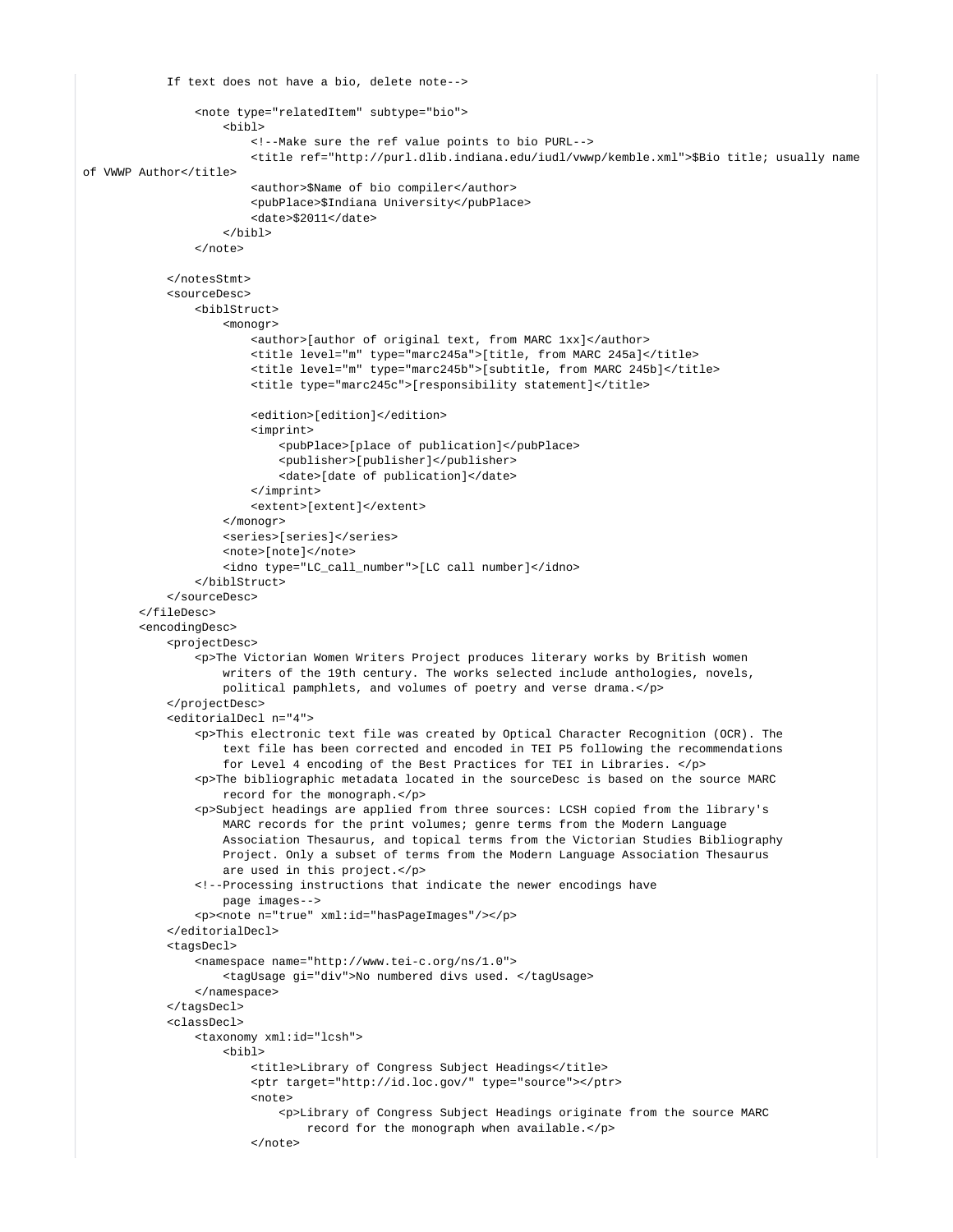```
 If text does not have a bio, delete note-->
                 <note type="relatedItem" subtype="bio">
                      <bibl> 
                          <!--Make sure the ref value points to bio PURL-->
                          <title ref="http://purl.dlib.indiana.edu/iudl/vwwp/kemble.xml">$Bio title; usually name 
of VWWP Author</title>
                          <author>$Name of bio compiler</author>
                          <pubPlace>$Indiana University</pubPlace>
                          <date>$2011</date>
                      </bibl>
                \epsilon/notes
             </notesStmt>
             <sourceDesc>
                 <biblStruct>
                      <monogr>
                          <author>[author of original text, from MARC 1xx]</author>
                          <title level="m" type="marc245a">[title, from MARC 245a]</title>
                          <title level="m" type="marc245b">[subtitle, from MARC 245b]</title>
                          <title type="marc245c">[responsibility statement]</title>
                          <edition>[edition]</edition>
                          <imprint>
                              <pubPlace>[place of publication]</pubPlace>
                              <publisher>[publisher]</publisher>
                              <date>[date of publication]</date>
                          </imprint>
                          <extent>[extent]</extent>
                     </monogr>
                     <series>[series]</series>
                     <note>[note]</note>
                      <idno type="LC_call_number">[LC call number]</idno>
                 </biblStruct>
             </sourceDesc>
         </fileDesc>
         <encodingDesc>
             <projectDesc>
                 <p>The Victorian Women Writers Project produces literary works by British women
                     writers of the 19th century. The works selected include anthologies, novels,
                     political pamphlets, and volumes of poetry and verse drama.</p>
             </projectDesc>
             <editorialDecl n="4">
                 <p>This electronic text file was created by Optical Character Recognition (OCR). The
                     text file has been corrected and encoded in TEI P5 following the recommendations
                     for Level 4 encoding of the Best Practices for TEI in Libraries. </p>
                 <p>The bibliographic metadata located in the sourceDesc is based on the source MARC
                     record for the monograph.</p>
                 <p>Subject headings are applied from three sources: LCSH copied from the library's
                     MARC records for the print volumes; genre terms from the Modern Language
                     Association Thesaurus, and topical terms from the Victorian Studies Bibliography
                     Project. Only a subset of terms from the Modern Language Association Thesaurus
                     are used in this project.</p>
                 <!--Processing instructions that indicate the newer encodings have
                     page images-->
                 <p><note n="true" xml:id="hasPageImages"/></p>
             </editorialDecl>
             <tagsDecl>
                 <namespace name="http://www.tei-c.org/ns/1.0">
                     <tagUsage gi="div">No numbered divs used. </tagUsage>
                 </namespace>
             </tagsDecl>
             <classDecl>
                 <taxonomy xml:id="lcsh">
                     <bibl>
                          <title>Library of Congress Subject Headings</title>
                          <ptr target="http://id.loc.gov/" type="source"></ptr>
                          <note>
                              <p>Library of Congress Subject Headings originate from the source MARC
                                  record for the monograph when available.</p>
                         \epsilon/notes
```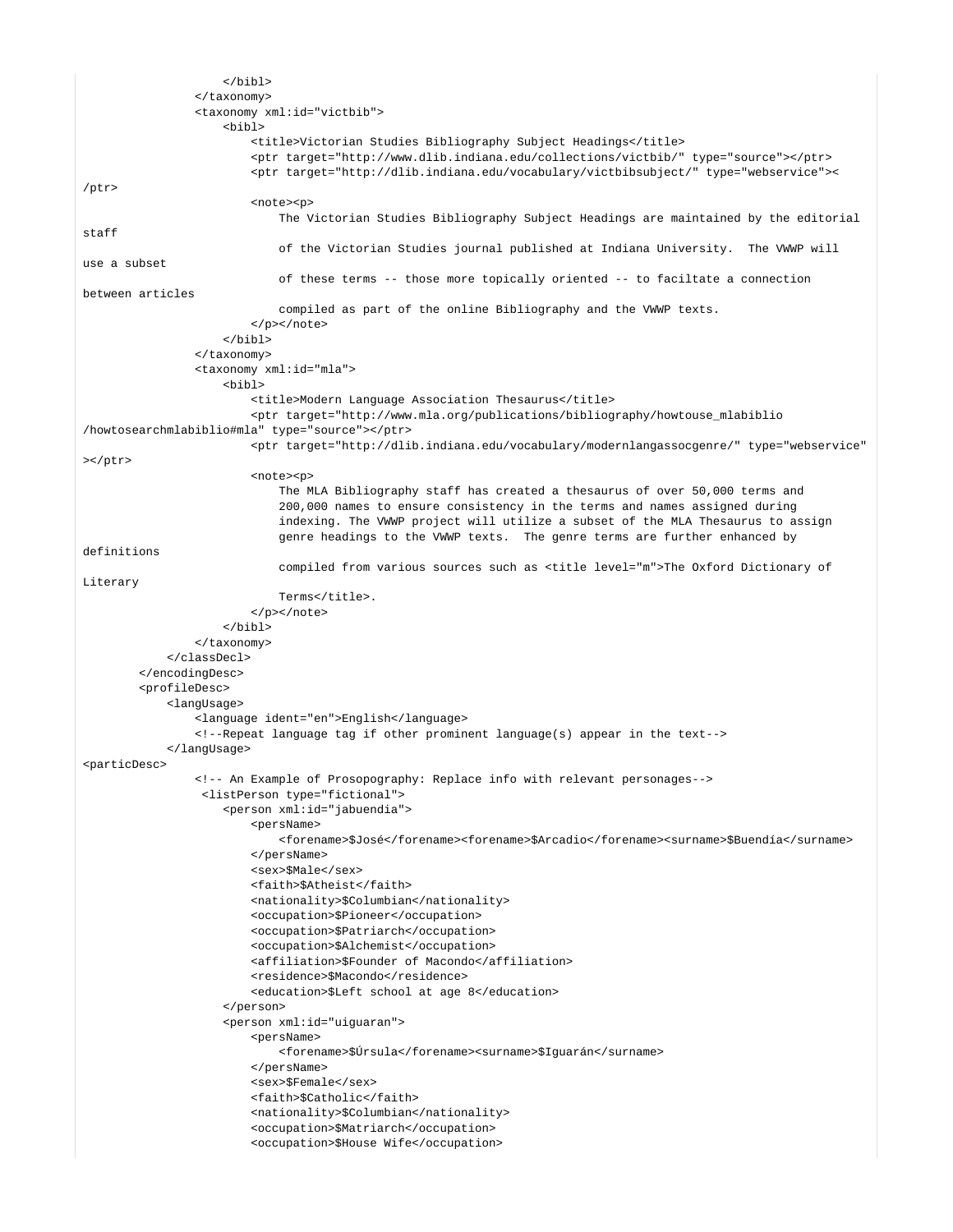```
\epsilon/hihl>
                 </taxonomy>
                 <taxonomy xml:id="victbib">
                     <bibl>
                          <title>Victorian Studies Bibliography Subject Headings</title>
                          <ptr target="http://www.dlib.indiana.edu/collections/victbib/" type="source"></ptr>
                          <ptr target="http://dlib.indiana.edu/vocabulary/victbibsubject/" type="webservice"><
/ptr>
                          <note><p>
                             The Victorian Studies Bibliography Subject Headings are maintained by the editorial 
staff
                             of the Victorian Studies journal published at Indiana University. The VWWP will 
use a subset
                              of these terms -- those more topically oriented -- to faciltate a connection 
between articles
                             compiled as part of the online Bibliography and the VWWP texts.
                          </p></note>
                    \epsilon/hihl>
                 </taxonomy>
                 <taxonomy xml:id="mla">
                     <bibl>
                          <title>Modern Language Association Thesaurus</title>
                          <ptr target="http://www.mla.org/publications/bibliography/howtouse_mlabiblio
/howtosearchmlabiblio#mla" type="source"></ptr>
                         <ptr target="http://dlib.indiana.edu/vocabulary/modernlangassocgenre/" type="webservice"
>>/btx <note><p>
                             The MLA Bibliography staff has created a thesaurus of over 50,000 terms and
                              200,000 names to ensure consistency in the terms and names assigned during
                              indexing. The VWWP project will utilize a subset of the MLA Thesaurus to assign
                              genre headings to the VWWP texts. The genre terms are further enhanced by 
definitions
                              compiled from various sources such as <title level="m">The Oxford Dictionary of 
Literary
                             Terms</title>.
                          </p></note>
                     </bibl>
                 </taxonomy>
             </classDecl>
         </encodingDesc>
         <profileDesc>
             <langUsage>
                 <language ident="en">English</language>
                 <!--Repeat language tag if other prominent language(s) appear in the text-->
             </langUsage>
<particDesc>
                 <!-- An Example of Prosopography: Replace info with relevant personages-->
                  <listPerson type="fictional">
                     <person xml:id="jabuendia">
                          <persName>
                              <forename>$José</forename><forename>$Arcadio</forename><surname>$Buendía</surname>
                          </persName>
                          <sex>$Male</sex>
                          <faith>$Atheist</faith>
                          <nationality>$Columbian</nationality>
                          <occupation>$Pioneer</occupation>
                          <occupation>$Patriarch</occupation>
                          <occupation>$Alchemist</occupation>
                          <affiliation>$Founder of Macondo</affiliation>
                          <residence>$Macondo</residence>
                          <education>$Left school at age 8</education>
                     </person>
                     <person xml:id="uiguaran">
                         <persName>
                              <forename>$Úrsula</forename><surname>$Iguarán</surname>
                          </persName>
                          <sex>$Female</sex>
                          <faith>$Catholic</faith>
                          <nationality>$Columbian</nationality>
                          <occupation>$Matriarch</occupation>
                          <occupation>$House Wife</occupation>
```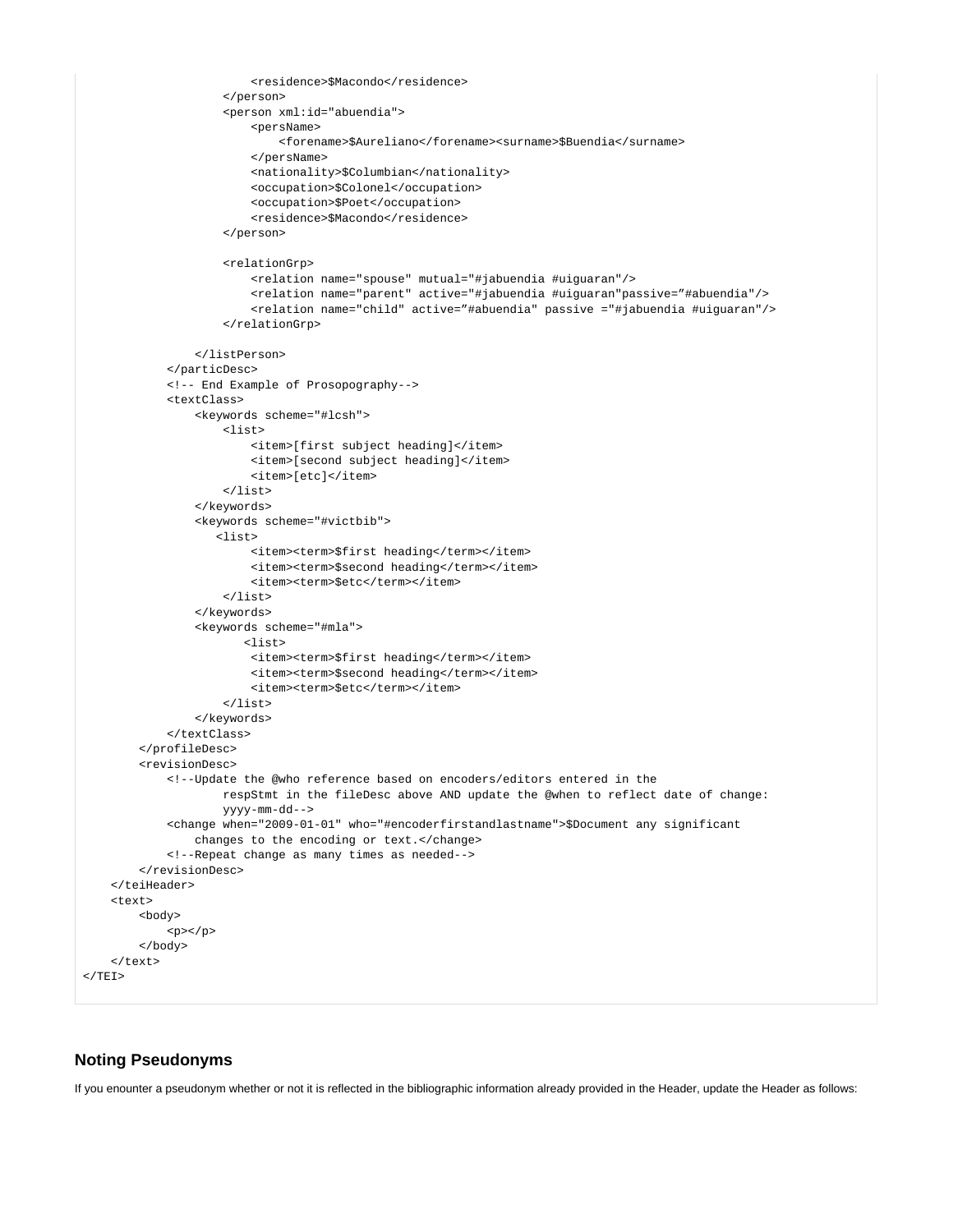```
 <residence>$Macondo</residence>
                 </person>
                 <person xml:id="abuendia">
                      <persName>
                          <forename>$Aureliano</forename><surname>$Buendia</surname>
                      </persName>
                      <nationality>$Columbian</nationality>
                      <occupation>$Colonel</occupation>
                      <occupation>$Poet</occupation>
                      <residence>$Macondo</residence>
                 </person>
                 <relationGrp>
                      <relation name="spouse" mutual="#jabuendia #uiguaran"/>
                      <relation name="parent" active="#jabuendia #uiguaran"passive="#abuendia"/>
                      <relation name="child" active="#abuendia" passive ="#jabuendia #uiguaran"/>
                 </relationGrp>
             </listPerson>
         </particDesc>
         <!-- End Example of Prosopography-->
         <textClass>
             <keywords scheme="#lcsh">
                 <list>
                      <item>[first subject heading]</item>
                      <item>[second subject heading]</item>
                      <item>[etc]</item>
                \epsilon/list>
             </keywords>
             <keywords scheme="#victbib">
                <list>
                      <item><term>$first heading</term></item>
                     <item><term>$second heading</term></item>
                      <item><term>$etc</term></item>
                 </list>
            </keywords>
             <keywords scheme="#mla">
                    <list>
                      <item><term>$first heading</term></item>
                     <item><term>$second heading</term></item>
                      <item><term>$etc</term></item>
                 </list>
            </keywords>
         </textClass>
     </profileDesc>
     <revisionDesc>
         <!--Update the @who reference based on encoders/editors entered in the
                 respStmt in the fileDesc above AND update the @when to reflect date of change:
                 yyyy-mm-dd-->
         <change when="2009-01-01" who="#encoderfirstandlastname">$Document any significant
             changes to the encoding or text.</change>
         <!--Repeat change as many times as needed-->
     </revisionDesc>
 </teiHeader>
 <text>
     <body>
        <p><p> </body>
 </text>
```
## **Noting Pseudonyms**

 $<$ /TEI>

If you enounter a pseudonym whether or not it is reflected in the bibliographic information already provided in the Header, update the Header as follows: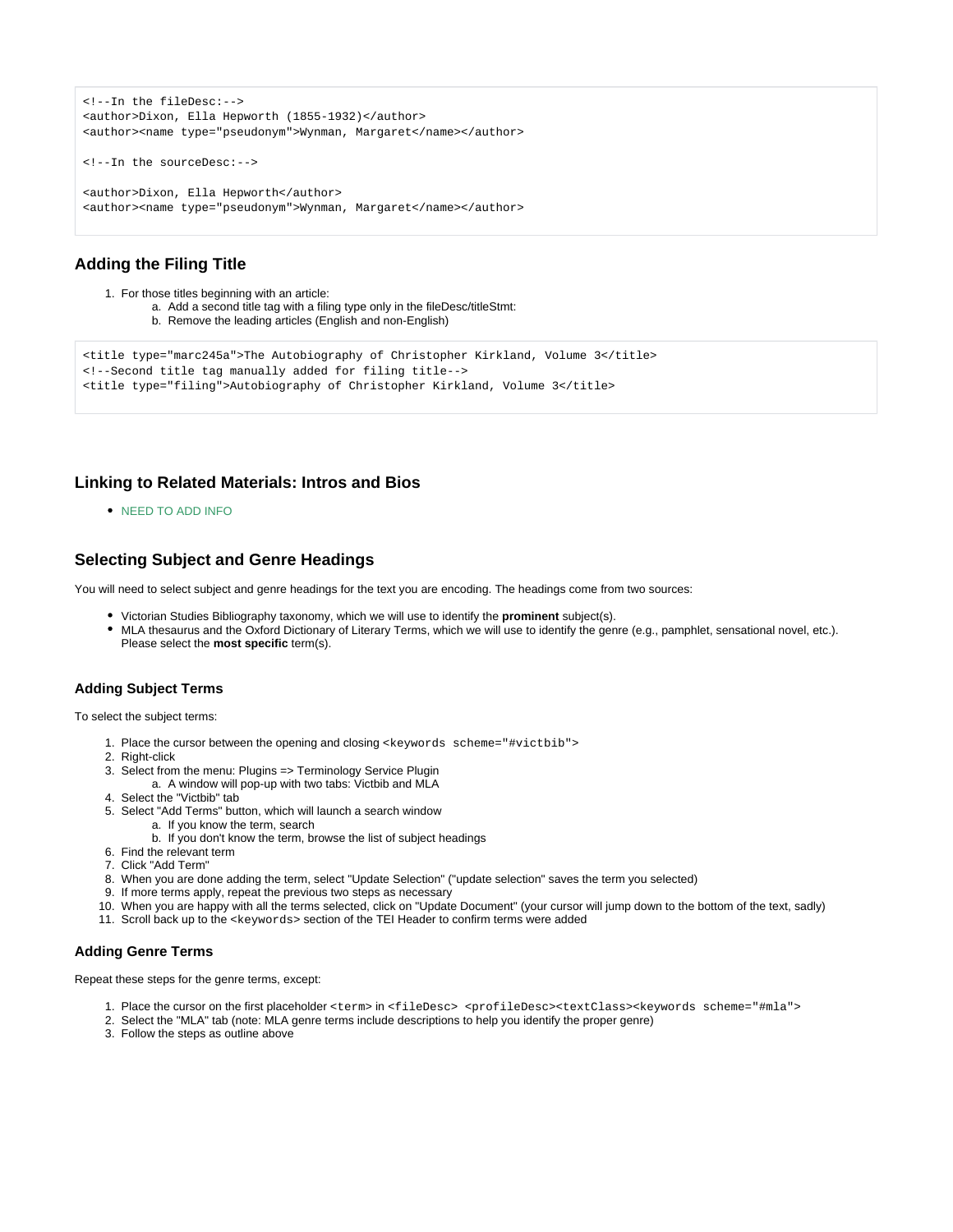```
<!--In the fileDesc:-->
<author>Dixon, Ella Hepworth (1855-1932)</author>
<author><name type="pseudonym">Wynman, Margaret</name></author>
<!--In the sourceDesc:-->
<author>Dixon, Ella Hepworth</author>
<author><name type="pseudonym">Wynman, Margaret</name></author>
```
## **Adding the Filing Title**

```
1. 
For those titles beginning with an article:
            a. 
Add a second title tag with a filing type only in the fileDesc/titleStmt:
            b. 
Remove the leading articles (English and non-English)
<title type="marc245a">The Autobiography of Christopher Kirkland, Volume 3</title>
<!--Second title tag manually added for filing title-->
```

```
<title type="filing">Autobiography of Christopher Kirkland, Volume 3</title>
```
## <span id="page-18-0"></span>**Linking to Related Materials: Intros and Bios**

**NEED TO ADD INFO.** 

## <span id="page-18-2"></span>**Selecting Subject and Genre Headings**

You will need to select subject and genre headings for the text you are encoding. The headings come from two sources:

- Victorian Studies Bibliography taxonomy, which we will use to identify the **prominent** subject(s).
- MLA thesaurus and the Oxford Dictionary of Literary Terms, which we will use to identify the genre (e.g., pamphlet, sensational novel, etc.). Please select the **most specific** term(s).

## <span id="page-18-1"></span>**Adding Subject Terms**

To select the subject terms:

- 1. Place the cursor between the opening and closing <keywords scheme="#victbib">
- 2. Right-click
- 3. Select from the menu: Plugins => Terminology Service Plugin
- a. A window will pop-up with two tabs: Victbib and MLA
- 4. Select the "Victbib" tab
- 5. Select "Add Terms" button, which will launch a search window
	- a. If you know the term, search
	- b. If you don't know the term, browse the list of subject headings
- 6. Find the relevant term
- 7. Click "Add Term"
- 8. When you are done adding the term, select "Update Selection" ("update selection" saves the term you selected)
- 9. If more terms apply, repeat the previous two steps as necessary
- 10. When you are happy with all the terms selected, click on "Update Document" (your cursor will jump down to the bottom of the text, sadly)
- 11. Scroll back up to the <keywords> section of the TEI Header to confirm terms were added

#### **Adding Genre Terms**

Repeat these steps for the genre terms, except:

- 1. Place the cursor on the first placeholder <term> in <fileDesc> <profileDesc><textClass><keywords scheme="#mla">
- 2. Select the "MLA" tab (note: MLA genre terms include descriptions to help you identify the proper genre)
- 3. Follow the steps as outline above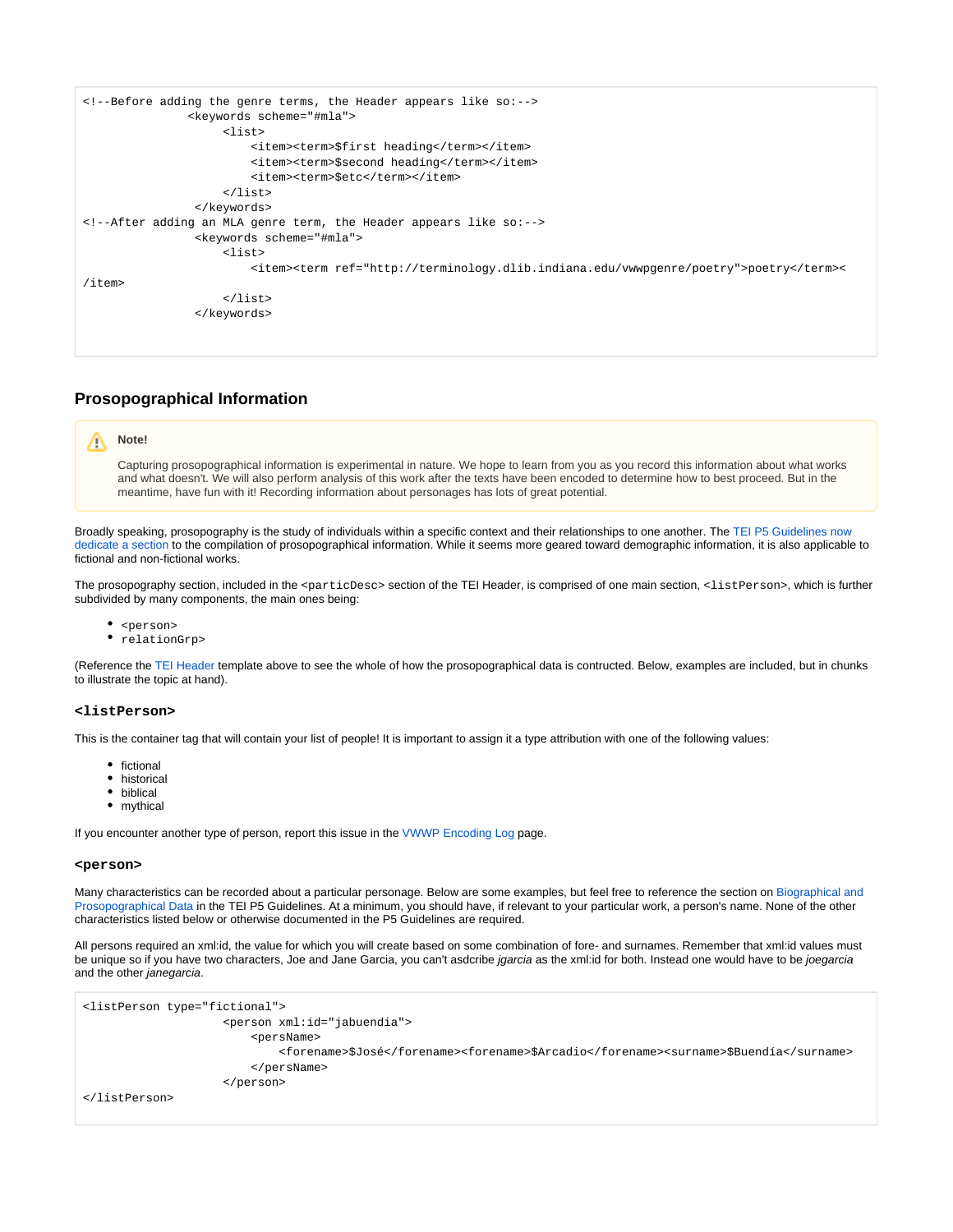```
<!--Before adding the genre terms, the Header appears like so:-->
                <keywords scheme="#mla">
                     <list>
                          <item><term>$first heading</term></item>
                          <item><term>$second heading</term></item>
                          <item><term>$etc</term></item>
                     </list>
                 </keywords>
<!--After adding an MLA genre term, the Header appears like so:-->
                 <keywords scheme="#mla">
                     <list>
                          <item><term ref="http://terminology.dlib.indiana.edu/vwwpgenre/poetry">poetry</term><
/item>
                     </list>
                 </keywords>
```
## <span id="page-19-0"></span>**Prosopographical Information**

#### **Note!** W.

Capturing prosopographical information is experimental in nature. We hope to learn from you as you record this information about what works and what doesn't. We will also perform analysis of this work after the texts have been encoded to determine how to best proceed. But in the meantime, have fun with it! Recording information about personages has lots of great potential.

Broadly speaking, prosopography is the study of individuals within a specific context and their relationships to one another. The TEI P5 Guidelines now [dedicate a section](http://www.tei-c.org/release/doc/tei-p5-doc/en/html/ND.html#NDPERS) to the compilation of prosopographical information. While it seems more geared toward demographic information, it is also applicable to fictional and non-fictional works.

The prosopography section, included in the <particDesc> section of the TEI Header, is comprised of one main section, <listPerson>, which is further subdivided by many components, the main ones being:

- <person>
- relationGrp>

(Reference the [TEI Header](#page-13-1) template above to see the whole of how the prosopographical data is contructed. Below, examples are included, but in chunks to illustrate the topic at hand).

#### **<listPerson>**

This is the container tag that will contain your list of people! It is important to assign it a type attribution with one of the following values:

- fictional
- historical
- biblical
- mythical

If you encounter another type of person, report this issue in the [VWWP Encoding Log](https://wiki.dlib.indiana.edu/display/vwwp/VWWP+Encoding+Log) page.

#### **<person>**

Many characteristics can be recorded about a particular personage. Below are some examples, but feel free to reference the section on Biographical and [Prosopographical Data](http://www.tei-c.org/release/doc/tei-p5-doc/en/html/ND.html#NDPERS) in the TEI P5 Guidelines. At a minimum, you should have, if relevant to your particular work, a person's name. None of the other characteristics listed below or otherwise documented in the P5 Guidelines are required.

All persons required an xml:id, the value for which you will create based on some combination of fore- and surnames. Remember that xml:id values must be unique so if you have two characters, Joe and Jane Garcia, you can't asdcribe jgarcia as the xml:id for both. Instead one would have to be joegarcia and the other janegarcia.

```
<listPerson type="fictional">
                     <person xml:id="jabuendia">
                         <persName>
                              <forename>$José</forename><forename>$Arcadio</forename><surname>$Buendía</surname>
                          </persName>
                     </person>
</listPerson>
```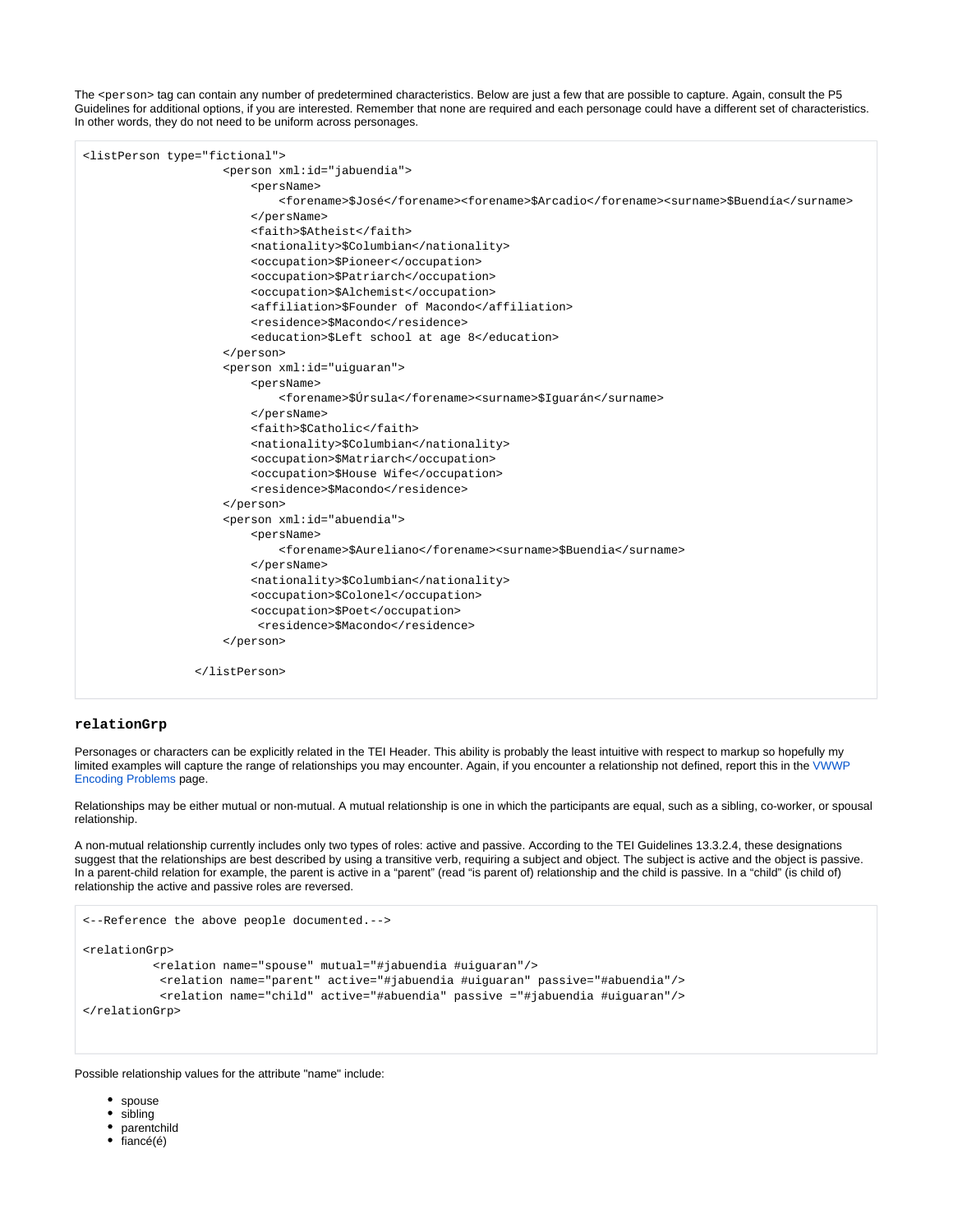The <person> tag can contain any number of predetermined characteristics. Below are just a few that are possible to capture. Again, consult the P5 Guidelines for additional options, if you are interested. Remember that none are required and each personage could have a different set of characteristics. In other words, they do not need to be uniform across personages.



#### **relationGrp**

Personages or characters can be explicitly related in the TEI Header. This ability is probably the least intuitive with respect to markup so hopefully my limited examples will capture the range of relationships you may encounter. Again, if you encounter a relationship not defined, report this in the VWWP [Encoding Problems](https://wiki.dlib.indiana.edu/display/vwwp/VWWP+Encoding+Problems) page.

Relationships may be either mutual or non-mutual. A mutual relationship is one in which the participants are equal, such as a sibling, co-worker, or spousal relationship.

A non-mutual relationship currently includes only two types of roles: active and passive. According to the TEI Guidelines 13.3.2.4, these designations suggest that the relationships are best described by using a transitive verb, requiring a subject and object. The subject is active and the object is passive. In a parent-child relation for example, the parent is active in a "parent" (read "is parent of) relationship and the child is passive. In a "child" (is child of) relationship the active and passive roles are reversed.

```
<--Reference the above people documented.-->
<relationGrp>
           <relation name="spouse" mutual="#jabuendia #uiguaran"/>
           <relation name="parent" active="#jabuendia #uiguaran" passive="#abuendia"/>
            <relation name="child" active="#abuendia" passive ="#jabuendia #uiguaran"/>
</relationGrp>
```
Possible relationship values for the attribute "name" include:

- spouse
- sibling
- parentchild
- 
- $\bullet$  fiancé(é)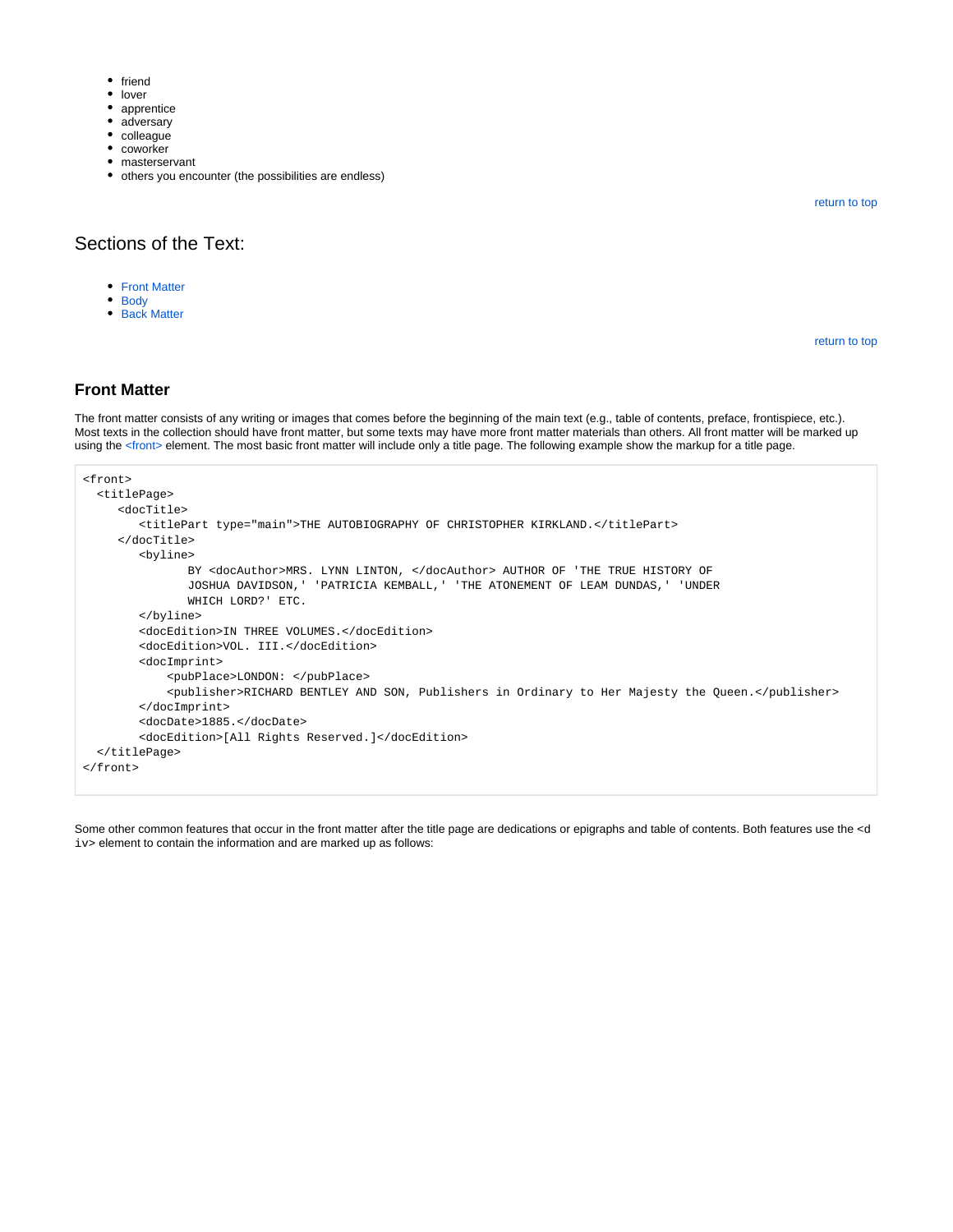- $•$  friend
- lover
- apprentice
- adversary
- colleague
- coworker
- masterservant
- others you encounter (the possibilities are endless)

[return to top](#page-0-0)

## Sections of the Text:

- [Front Matter](#page-21-0)
- [Body](#page-22-0)
- [Back Matter](#page-24-2)

[return to top](#page-0-0)

### <span id="page-21-0"></span>**Front Matter**

The front matter consists of any writing or images that comes before the beginning of the main text (e.g., table of contents, preface, frontispiece, etc.). Most texts in the collection should have front matter, but some texts may have more front matter materials than others. All front matter will be marked up using the [<front>](http://www.tei-c.org/release/doc/tei-p5-doc/en/html/ref-front.html) element. The most basic front matter will include only a title page. The following example show the markup for a title page.

```
<front>
  <titlePage>
     <docTitle>
         <titlePart type="main">THE AUTOBIOGRAPHY OF CHRISTOPHER KIRKLAND.</titlePart>
      </docTitle>
         <byline>
                BY <docAuthor>MRS. LYNN LINTON, </docAuthor> AUTHOR OF 'THE TRUE HISTORY OF
                JOSHUA DAVIDSON,' 'PATRICIA KEMBALL,' 'THE ATONEMENT OF LEAM DUNDAS,' 'UNDER
                WHICH LORD?' ETC.
         </byline>
         <docEdition>IN THREE VOLUMES.</docEdition>
         <docEdition>VOL. III.</docEdition>
         <docImprint>
             <pubPlace>LONDON: </pubPlace>
             <publisher>RICHARD BENTLEY AND SON, Publishers in Ordinary to Her Majesty the Queen.</publisher>
         </docImprint>
         <docDate>1885.</docDate>
         <docEdition>[All Rights Reserved.]</docEdition>
   </titlePage>
</front>
```
Some other common features that occur in the front matter after the title page are dedications or epigraphs and table of contents. Both features use the <d iv> element to contain the information and are marked up as follows: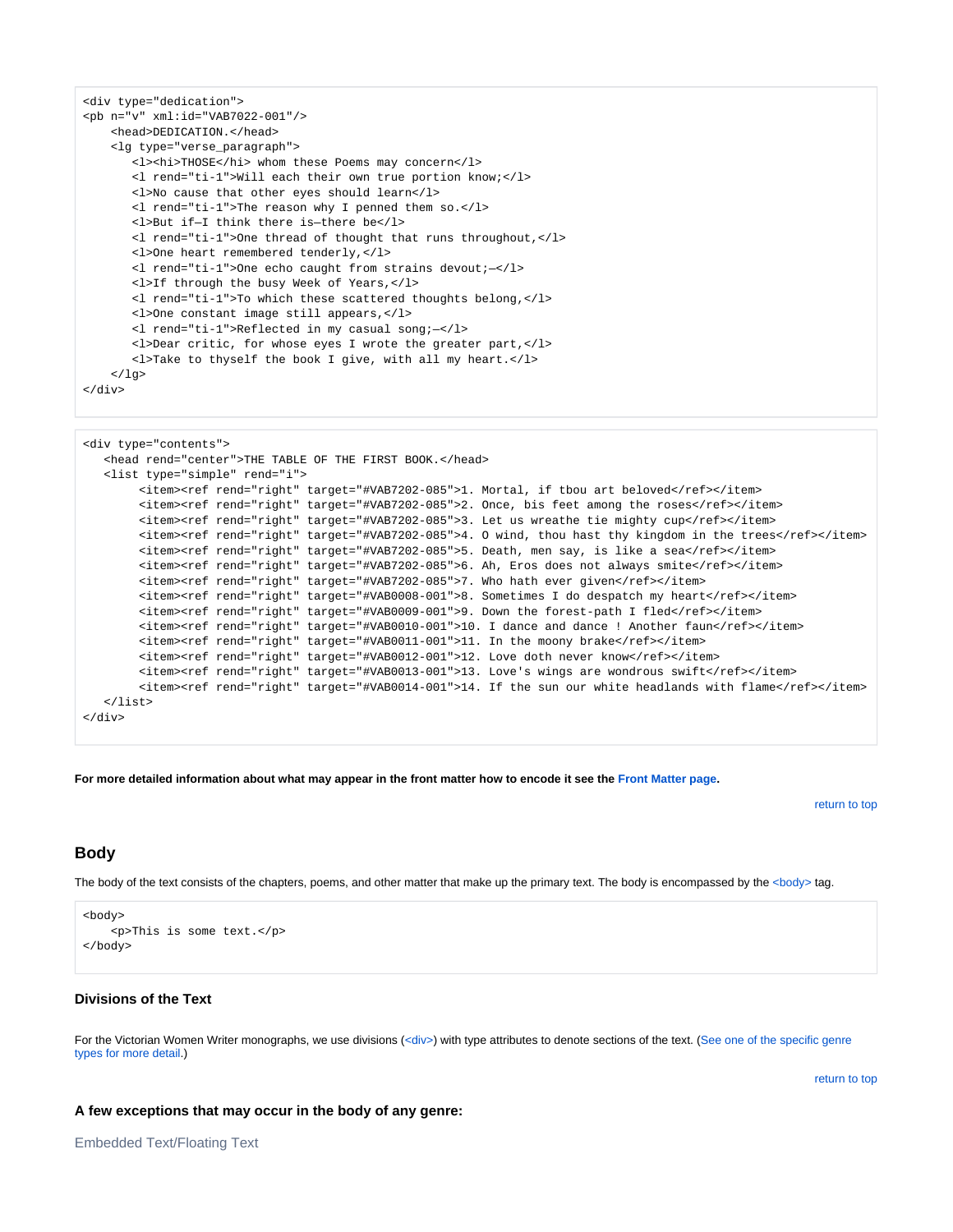```
<div type="dedication">
 n="v" <b>small</b>:id="VAB7022-001" <head>DEDICATION.</head>
     <lg type="verse_paragraph">
      <l><hi>THOSE</hi> whom these Poems may concern</l>
       <l rend="ti-1">Will each their own true portion know;</l>
       <l>No cause that other eyes should learn</l>
       <l rend="ti-1">The reason why I penned them so.</l>
        <l>But if—I think there is—there be</l>
        <l rend="ti-1">One thread of thought that runs throughout,</l>
       <l>One heart remembered tenderly,</l>
       <l rend="ti-1">One echo caught from strains devout;—</l>
       <l>If through the busy Week of Years,</l>
       <l rend="ti-1">To which these scattered thoughts belong,</l>
       <l>One constant image still appears,</l>
        <l rend="ti-1">Reflected in my casual song;—</l>
        <l>Dear critic, for whose eyes I wrote the greater part,</l>
       <l>Take to thyself the book I give, with all my heart.</l>
    \langle /lg>
</div>
```

```
<div type="contents">
   <head rend="center">THE TABLE OF THE FIRST BOOK.</head>
    <list type="simple" rend="i">
        <item><ref rend="right" target="#VAB7202-085">1. Mortal, if tbou art beloved</ref></item>
        <item><ref rend="right" target="#VAB7202-085">2. Once, bis feet among the roses</ref></item>
        <item><ref rend="right" target="#VAB7202-085">3. Let us wreathe tie mighty cup</ref></item>
        <item><ref rend="right" target="#VAB7202-085">4. O wind, thou hast thy kingdom in the trees</ref></item>
        <item><ref rend="right" target="#VAB7202-085">5. Death, men say, is like a sea</ref></item>
        <item><ref rend="right" target="#VAB7202-085">6. Ah, Eros does not always smite</ref></item>
       <item><ref rend="right" target="#VAB7202-085">7. Who hath ever given</ref></item>
        <item><ref rend="right" target="#VAB0008-001">8. Sometimes I do despatch my heart</ref></item>
       <item><ref rend="right" target="#VAB0009-001">9. Down the forest-path I fled</ref></item>
        <item><ref rend="right" target="#VAB0010-001">10. I dance and dance ! Another faun</ref></item>
       <item><ref rend="right" target="#VAB0011-001">11. In the moony brake</ref></item>
         <item><ref rend="right" target="#VAB0012-001">12. Love doth never know</ref></item>
       <item><ref rend="right" target="#VAB0013-001">13. Love's wings are wondrous swift</ref></item>
        <item><ref rend="right" target="#VAB0014-001">14. If the sun our white headlands with flame</ref></item>
    </list>
</div>
```
**For more detailed information about what may appear in the front matter how to encode it see the [Front Matter page.](https://wiki.dlib.indiana.edu/display/vwwp/Front+Matter)**

[return to top](#page-0-0)

## <span id="page-22-0"></span>**Body**

The body of the text consists of the chapters, poems, and other matter that make up the primary text. The body is encompassed by the <br/>body> tag.

```
<body>
     <p>This is some text.</p>
</body>
```
## **Divisions of the Text**

<span id="page-22-1"></span>For the Victorian Women Writer monographs, we use divisions [\(<div>\)](http://www.tei-c.org/release/doc/tei-p5-doc/en/html/ref-div.html) with type attributes to denote sections of the text. (See one of the specific genre [types for more detail.](#page-24-1))

[return to top](#page-0-0)

#### **A few exceptions that may occur in the body of any genre:**

Embedded Text/Floating Text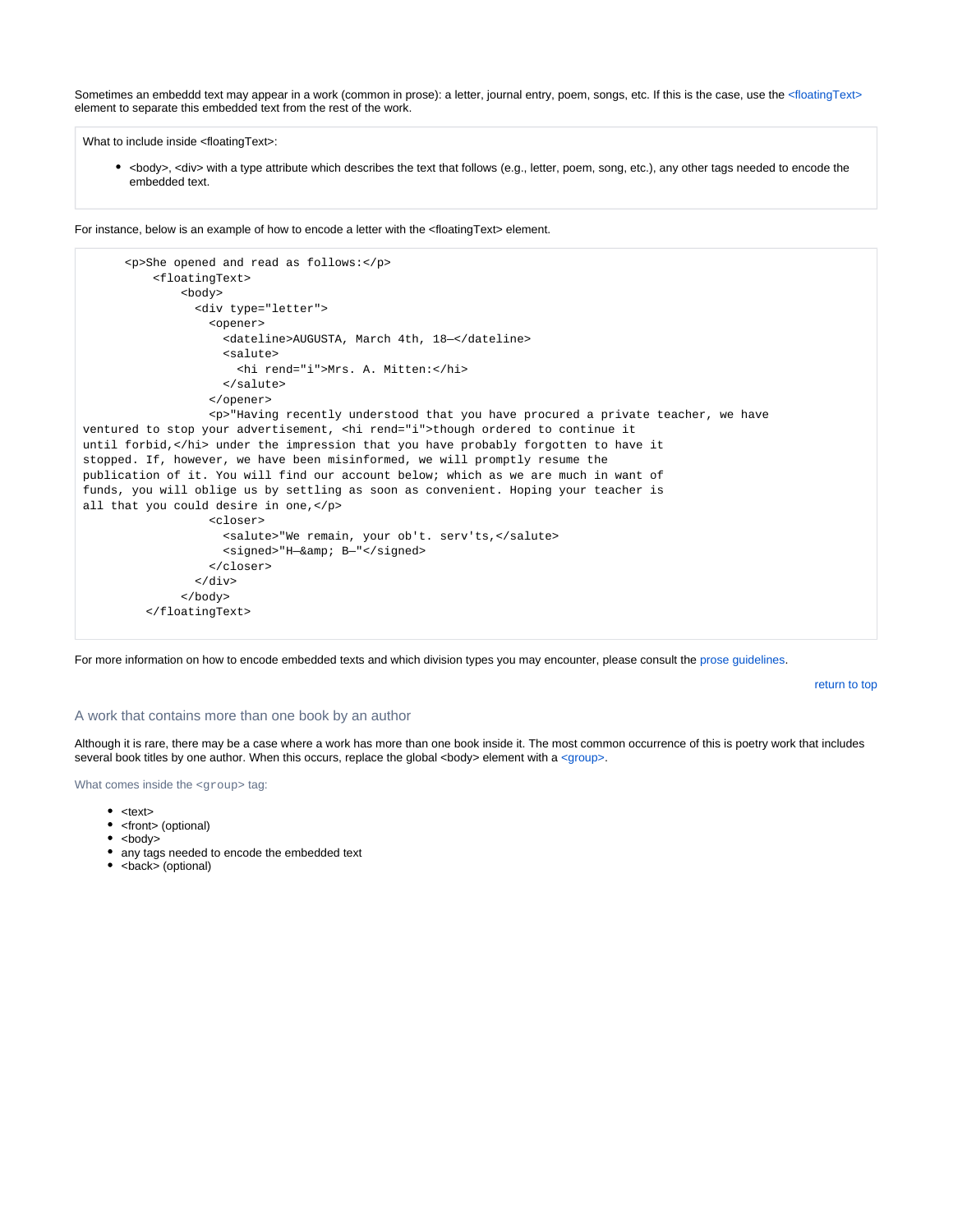Sometimes an embeddd text may appear in a work (common in prose): a letter, journal entry, poem, songs, etc. If this is the case, use the [<floatingText>](http://www.tei-c.org/release/doc/tei-p5-doc/en/html/ref-floatingText.html) element to separate this embedded text from the rest of the work.

What to include inside <floatingText>:

• <body>, <div> with a type attribute which describes the text that follows (e.g., letter, poem, song, etc.), any other tags needed to encode the embedded text.

For instance, below is an example of how to encode a letter with the <floatingText> element.

```
 <p>She opened and read as follows:</p>
           <floatingText>
               <body>
                 <div type="letter">
                   <opener>
                     <dateline>AUGUSTA, March 4th, 18—</dateline>
                     <salute>
                       <hi rend="i">Mrs. A. Mitten:</hi>
                     </salute>
                   </opener>
                   <p>"Having recently understood that you have procured a private teacher, we have
ventured to stop your advertisement, <hi rend="i">though ordered to continue it
until forbid,</hi> under the impression that you have probably forgotten to have it
stopped. If, however, we have been misinformed, we will promptly resume the
publication of it. You will find our account below; which as we are much in want of
funds, you will oblige us by settling as soon as convenient. Hoping your teacher is
all that you could desire in one,</p>
                   <closer>
                     <salute>"We remain, your ob't. serv'ts,</salute>
                    <signed>"H-&amp; B-"</signed>
                   </closer>
                \langlediv> </body>
          </floatingText>
```
For more information on how to encode embedded texts and which division types you may encounter, please consult the [prose guidelines.](https://wiki.dlib.indiana.edu/display/vwwp/Prose#Prose-floating)

[return to top](#page-0-0)

#### A work that contains more than one book by an author

Although it is rare, there may be a case where a work has more than one book inside it. The most common occurrence of this is poetry work that includes several book titles by one author. When this occurs, replace the global <br/> <br/>ebody> element with a [<group>.](http://www.tei-c.org/release/doc/tei-p5-doc/en/html/ref-group.html)

What comes inside the <group> tag:

- $\bullet$  <text>
- <front> (optional)
- $\bullet$  <br/> <br/> <br/> <br/> <br/> <br/> <br/> <br/> <br/> <br/> <br/> <br/> <br/> <br/> <br/> <br/> <br/> <br/> <br/> <br/> <br/> <br/> <br/><br/> $\bullet$ <br/> $\bullet$  <br/> $\bullet$ <br/> $\bullet$ <br/> $\bullet$ <br/> $\bullet$ <br/> $\bullet$ <br/> $\bullet$ <br/>
- any tags needed to encode the embedded text
- <back> (optional)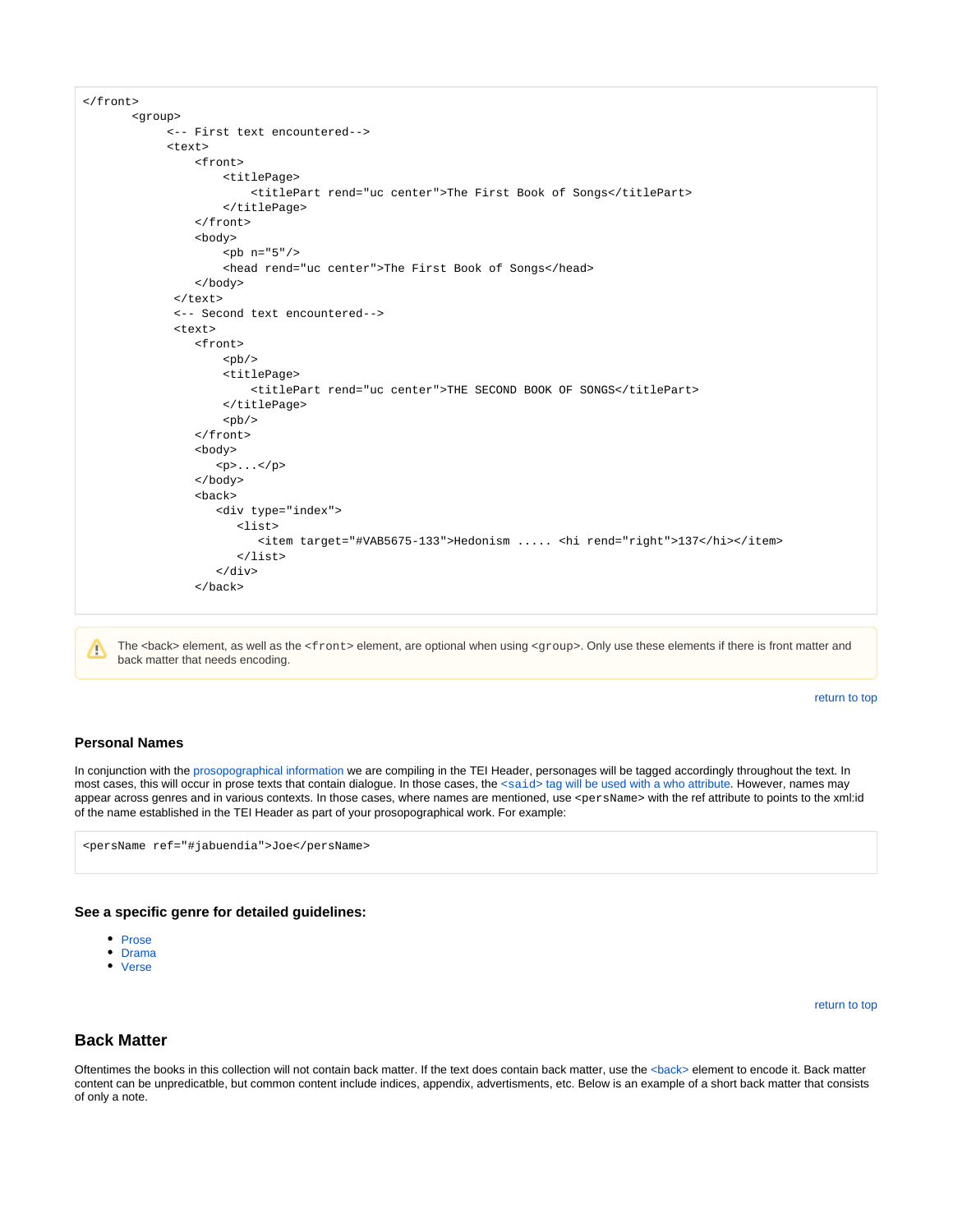

The <back> element, as well as the <front> element, are optional when using <qroup>. Only use these elements if there is front matter and Δ back matter that needs encoding.

[return to top](#page-0-0)

#### <span id="page-24-0"></span>**Personal Names**

In conjunction with the [prosopographical information](#page-19-0) we are compiling in the TEI Header, personages will be tagged accordingly throughout the text. In most cases, this will occur in prose texts that contain dialogue. In those cases, the <said> [tag will be used with a who attribute](https://wiki.dlib.indiana.edu/display/vwwp/Prose#Prose-internal). However, names may appear across genres and in various contexts. In those cases, where names are mentioned, use <persName> with the ref attribute to points to the xml:id of the name established in the TEI Header as part of your prosopographical work. For example:

<persName ref="#jabuendia">Joe</persName>

#### <span id="page-24-1"></span>**See a specific genre for detailed guidelines:**

- [Prose](https://wiki.dlib.indiana.edu/display/vwwp/Prose)
- [Drama](https://wiki.dlib.indiana.edu/display/vwwp/Drama)
- [Verse](https://wiki.dlib.indiana.edu/display/vwwp/Verse)

[return to top](#page-0-0)

#### <span id="page-24-2"></span>**Back Matter**

Oftentimes the books in this collection will not contain back matter. If the text does contain back matter, use the [<back>](http://www.tei-c.org/release/doc/tei-p5-doc/en/html/ref-back.html) element to encode it. Back matter content can be unpredicatble, but common content include indices, appendix, advertisments, etc. Below is an example of a short back matter that consists of only a note.